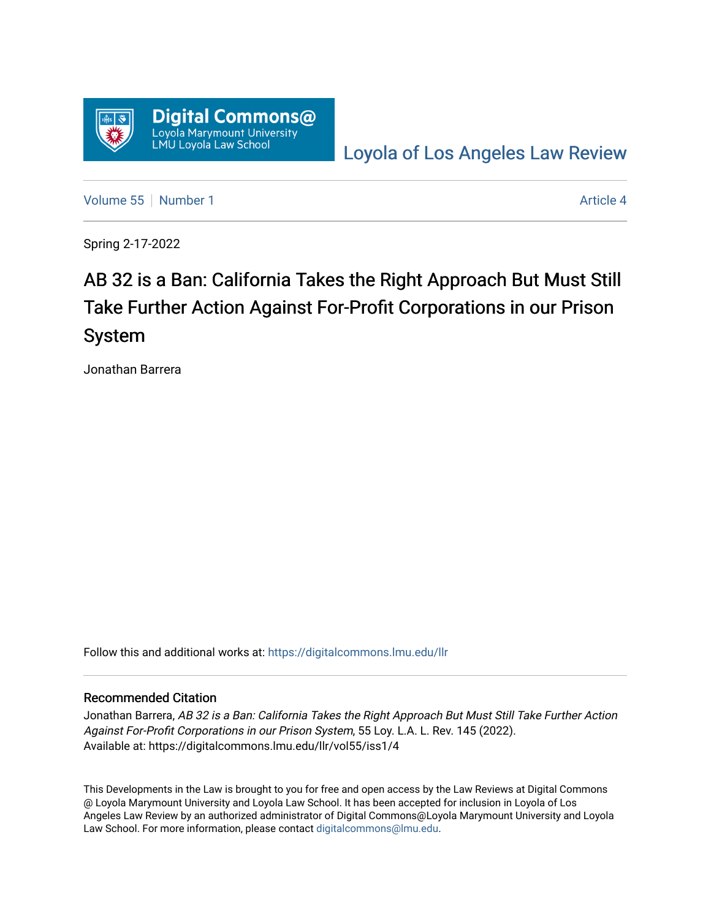

[Loyola of Los Angeles Law Review](https://digitalcommons.lmu.edu/llr) 

[Volume 55](https://digitalcommons.lmu.edu/llr/vol55) [Number 1](https://digitalcommons.lmu.edu/llr/vol55/iss1) Article 4

Spring 2-17-2022

# AB 32 is a Ban: California Takes the Right Approach But Must Still Take Further Action Against For-Profit Corporations in our Prison System

Jonathan Barrera

Follow this and additional works at: [https://digitalcommons.lmu.edu/llr](https://digitalcommons.lmu.edu/llr?utm_source=digitalcommons.lmu.edu%2Fllr%2Fvol55%2Fiss1%2F4&utm_medium=PDF&utm_campaign=PDFCoverPages) 

# Recommended Citation

Jonathan Barrera, AB 32 is a Ban: California Takes the Right Approach But Must Still Take Further Action Against For-Profit Corporations in our Prison System, 55 Loy. L.A. L. Rev. 145 (2022). Available at: https://digitalcommons.lmu.edu/llr/vol55/iss1/4

This Developments in the Law is brought to you for free and open access by the Law Reviews at Digital Commons @ Loyola Marymount University and Loyola Law School. It has been accepted for inclusion in Loyola of Los Angeles Law Review by an authorized administrator of Digital Commons@Loyola Marymount University and Loyola Law School. For more information, please contact [digitalcommons@lmu.edu.](mailto:digitalcommons@lmu.edu)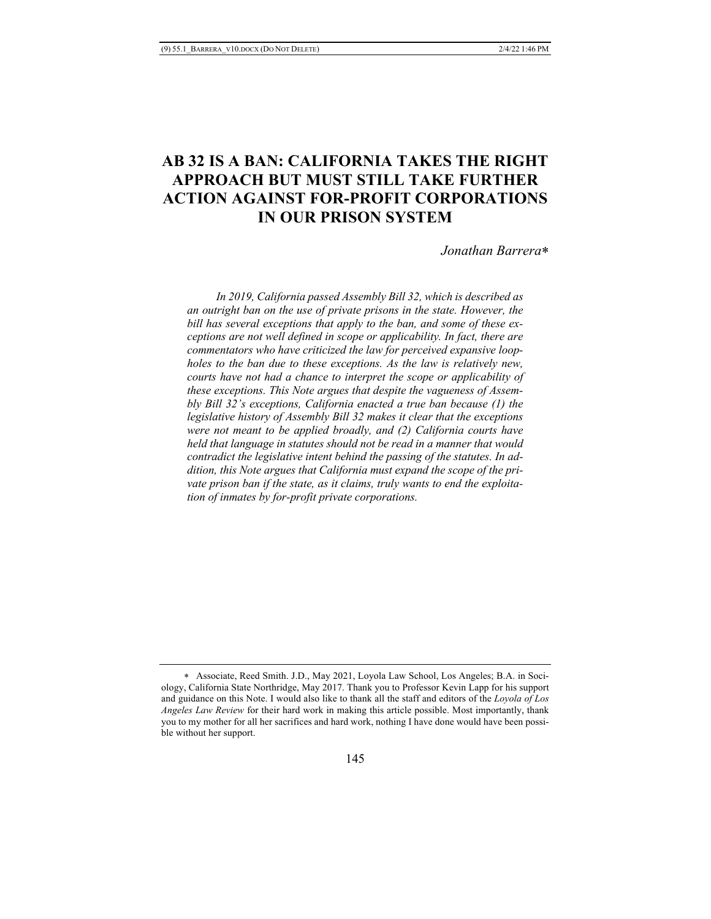# **AB 32 IS A BAN: CALIFORNIA TAKES THE RIGHT APPROACH BUT MUST STILL TAKE FURTHER ACTION AGAINST FOR-PROFIT CORPORATIONS IN OUR PRISON SYSTEM**

*Jonathan Barrera*\*

 *In 2019, California passed Assembly Bill 32, which is described as an outright ban on the use of private prisons in the state. However, the bill has several exceptions that apply to the ban, and some of these exceptions are not well defined in scope or applicability. In fact, there are commentators who have criticized the law for perceived expansive loopholes to the ban due to these exceptions. As the law is relatively new, courts have not had a chance to interpret the scope or applicability of these exceptions. This Note argues that despite the vagueness of Assembly Bill 32's exceptions, California enacted a true ban because (1) the legislative history of Assembly Bill 32 makes it clear that the exceptions were not meant to be applied broadly, and (2) California courts have held that language in statutes should not be read in a manner that would contradict the legislative intent behind the passing of the statutes. In addition, this Note argues that California must expand the scope of the private prison ban if the state, as it claims, truly wants to end the exploitation of inmates by for-profit private corporations.* 

<sup>\*</sup> Associate, Reed Smith. J.D., May 2021, Loyola Law School, Los Angeles; B.A. in Sociology, California State Northridge, May 2017. Thank you to Professor Kevin Lapp for his support and guidance on this Note. I would also like to thank all the staff and editors of the *Loyola of Los Angeles Law Review* for their hard work in making this article possible. Most importantly, thank you to my mother for all her sacrifices and hard work, nothing I have done would have been possible without her support.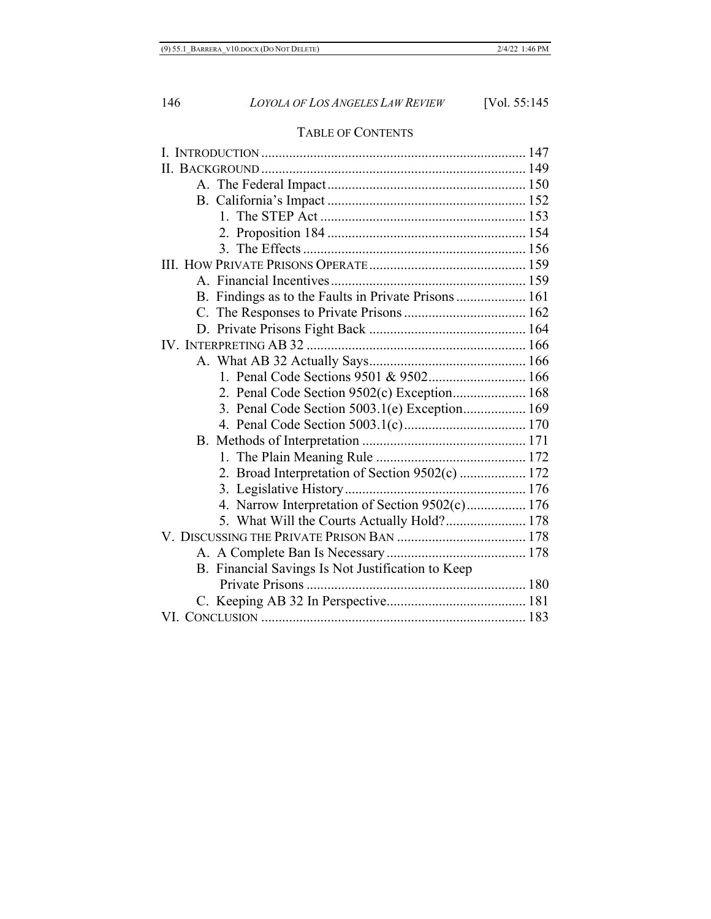# TABLE OF CONTENTS

| B. Findings as to the Faults in Private Prisons 161 |  |
|-----------------------------------------------------|--|
|                                                     |  |
|                                                     |  |
|                                                     |  |
|                                                     |  |
| 1. Penal Code Sections 9501 & 9502 166              |  |
| 2. Penal Code Section 9502(c) Exception 168         |  |
| 3. Penal Code Section 5003.1(e) Exception 169       |  |
|                                                     |  |
|                                                     |  |
|                                                     |  |
| 2. Broad Interpretation of Section 9502(c)  172     |  |
|                                                     |  |
| 4. Narrow Interpretation of Section 9502(c) 176     |  |
| 5. What Will the Courts Actually Hold? 178          |  |
|                                                     |  |
|                                                     |  |
| B. Financial Savings Is Not Justification to Keep   |  |
|                                                     |  |
|                                                     |  |
|                                                     |  |
|                                                     |  |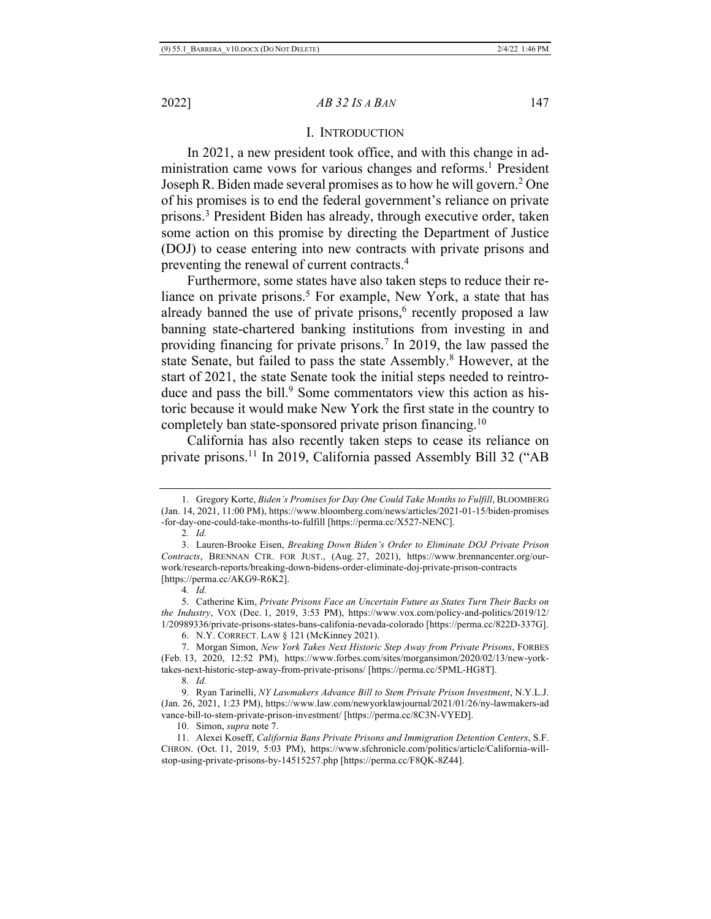#### I. INTRODUCTION

In 2021, a new president took office, and with this change in administration came vows for various changes and reforms.<sup>1</sup> President Joseph R. Biden made several promises as to how he will govern.2 One of his promises is to end the federal government's reliance on private prisons.3 President Biden has already, through executive order, taken some action on this promise by directing the Department of Justice (DOJ) to cease entering into new contracts with private prisons and preventing the renewal of current contracts.4

Furthermore, some states have also taken steps to reduce their reliance on private prisons.<sup>5</sup> For example, New York, a state that has already banned the use of private prisons, $6$  recently proposed a law banning state-chartered banking institutions from investing in and providing financing for private prisons.7 In 2019, the law passed the state Senate, but failed to pass the state Assembly.<sup>8</sup> However, at the start of 2021, the state Senate took the initial steps needed to reintroduce and pass the bill.<sup>9</sup> Some commentators view this action as historic because it would make New York the first state in the country to completely ban state-sponsored private prison financing.10

California has also recently taken steps to cease its reliance on private prisons.11 In 2019, California passed Assembly Bill 32 ("AB

4*. Id.*

6. N.Y. CORRECT. LAW § 121 (McKinney 2021).

7. Morgan Simon, *New York Takes Next Historic Step Away from Private Prisons*, FORBES (Feb. 13, 2020, 12:52 PM), https://www.forbes.com/sites/morgansimon/2020/02/13/new-yorktakes-next-historic-step-away-from-private-prisons/ [https://perma.cc/5PML-HG8T].

8*. Id.*

10. Simon, *supra* note 7.

<sup>1.</sup> Gregory Korte, *Biden's Promises for Day One Could Take Months to Fulfill*, BLOOMBERG (Jan. 14, 2021, 11:00 PM), https://www.bloomberg.com/news/articles/2021-01-15/biden-promises -for-day-one-could-take-months-to-fulfill [https://perma.cc/X527-NENC].

<sup>2</sup>*. Id.*

<sup>3.</sup> Lauren-Brooke Eisen, *Breaking Down Biden's Order to Eliminate DOJ Private Prison Contracts*, BRENNAN CTR. FOR JUST., (Aug. 27, 2021), https://www.brennancenter.org/ourwork/research-reports/breaking-down-bidens-order-eliminate-doj-private-prison-contracts [https://perma.cc/AKG9-R6K2].

<sup>5.</sup> Catherine Kim, *Private Prisons Face an Uncertain Future as States Turn Their Backs on the Industry*, VOX (Dec. 1, 2019, 3:53 PM), https://www.vox.com/policy-and-politics/2019/12/ 1/20989336/private-prisons-states-bans-califonia-nevada-colorado [https://perma.cc/822D-337G].

<sup>9.</sup> Ryan Tarinelli, *NY Lawmakers Advance Bill to Stem Private Prison Investment*, N.Y.L.J. (Jan. 26, 2021, 1:23 PM), https://www.law.com/newyorklawjournal/2021/01/26/ny-lawmakers-ad vance-bill-to-stem-private-prison-investment/ [https://perma.cc/8C3N-VYED].

<sup>11.</sup> Alexei Koseff, *California Bans Private Prisons and Immigration Detention Centers*, S.F. CHRON. (Oct. 11, 2019, 5:03 PM), https://www.sfchronicle.com/politics/article/California-willstop-using-private-prisons-by-14515257.php [https://perma.cc/F8QK-8Z44].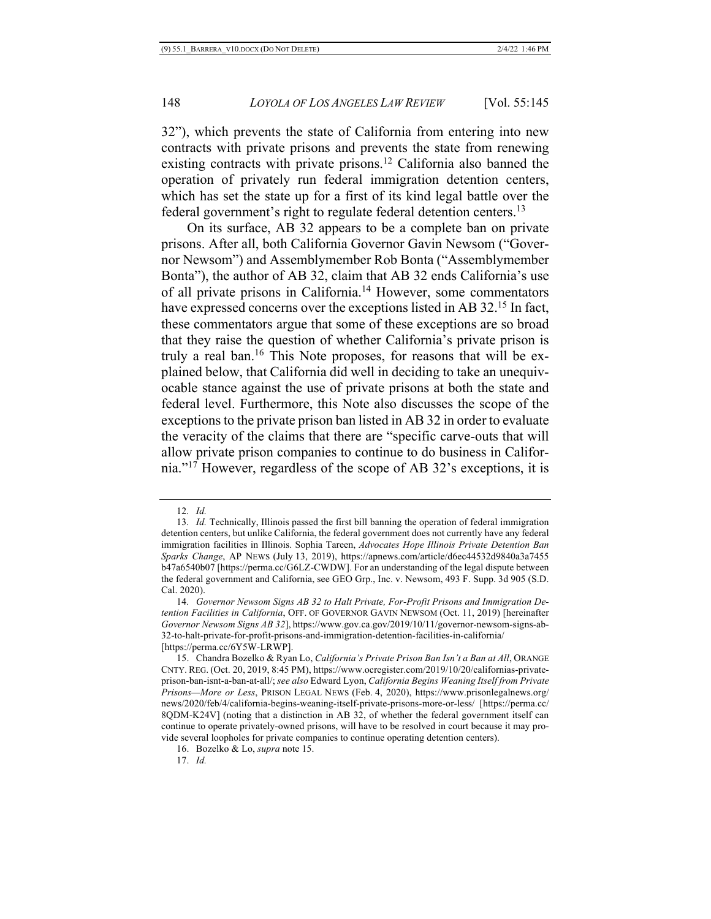32"), which prevents the state of California from entering into new contracts with private prisons and prevents the state from renewing existing contracts with private prisons.12 California also banned the operation of privately run federal immigration detention centers, which has set the state up for a first of its kind legal battle over the federal government's right to regulate federal detention centers.<sup>13</sup>

On its surface, AB 32 appears to be a complete ban on private prisons. After all, both California Governor Gavin Newsom ("Governor Newsom") and Assemblymember Rob Bonta ("Assemblymember Bonta"), the author of AB 32, claim that AB 32 ends California's use of all private prisons in California.14 However, some commentators have expressed concerns over the exceptions listed in AB 32.<sup>15</sup> In fact, these commentators argue that some of these exceptions are so broad that they raise the question of whether California's private prison is truly a real ban.<sup>16</sup> This Note proposes, for reasons that will be explained below, that California did well in deciding to take an unequivocable stance against the use of private prisons at both the state and federal level. Furthermore, this Note also discusses the scope of the exceptions to the private prison ban listed in AB 32 in order to evaluate the veracity of the claims that there are "specific carve-outs that will allow private prison companies to continue to do business in California."17 However, regardless of the scope of AB 32's exceptions, it is

<sup>12</sup>*. Id.*

<sup>13</sup>*. Id.* Technically, Illinois passed the first bill banning the operation of federal immigration detention centers, but unlike California, the federal government does not currently have any federal immigration facilities in Illinois. Sophia Tareen, *Advocates Hope Illinois Private Detention Ban Sparks Change*, AP NEWS (July 13, 2019), https://apnews.com/article/d6ec44532d9840a3a7455 b47a6540b07 [https://perma.cc/G6LZ-CWDW]. For an understanding of the legal dispute between the federal government and California, see GEO Grp., Inc. v. Newsom, 493 F. Supp. 3d 905 (S.D. Cal. 2020).

<sup>14</sup>*. Governor Newsom Signs AB 32 to Halt Private, For-Profit Prisons and Immigration Detention Facilities in California*, OFF. OF GOVERNOR GAVIN NEWSOM (Oct. 11, 2019) [hereinafter *Governor Newsom Signs AB 32*], https://www.gov.ca.gov/2019/10/11/governor-newsom-signs-ab-32-to-halt-private-for-profit-prisons-and-immigration-detention-facilities-in-california/ [https://perma.cc/6Y5W-LRWP].

<sup>15.</sup> Chandra Bozelko & Ryan Lo, *California's Private Prison Ban Isn't a Ban at All*, ORANGE CNTY. REG. (Oct. 20, 2019, 8:45 PM), https://www.ocregister.com/2019/10/20/californias-privateprison-ban-isnt-a-ban-at-all/; *see also* Edward Lyon, *California Begins Weaning Itself from Private Prisons—More or Less*, PRISON LEGAL NEWS (Feb. 4, 2020), https://www.prisonlegalnews.org/ news/2020/feb/4/california-begins-weaning-itself-private-prisons-more-or-less/ [https://perma.cc/ 8QDM-K24V] (noting that a distinction in AB 32, of whether the federal government itself can continue to operate privately-owned prisons, will have to be resolved in court because it may provide several loopholes for private companies to continue operating detention centers).

<sup>16.</sup> Bozelko & Lo, *supra* note 15.

<sup>17.</sup> *Id.*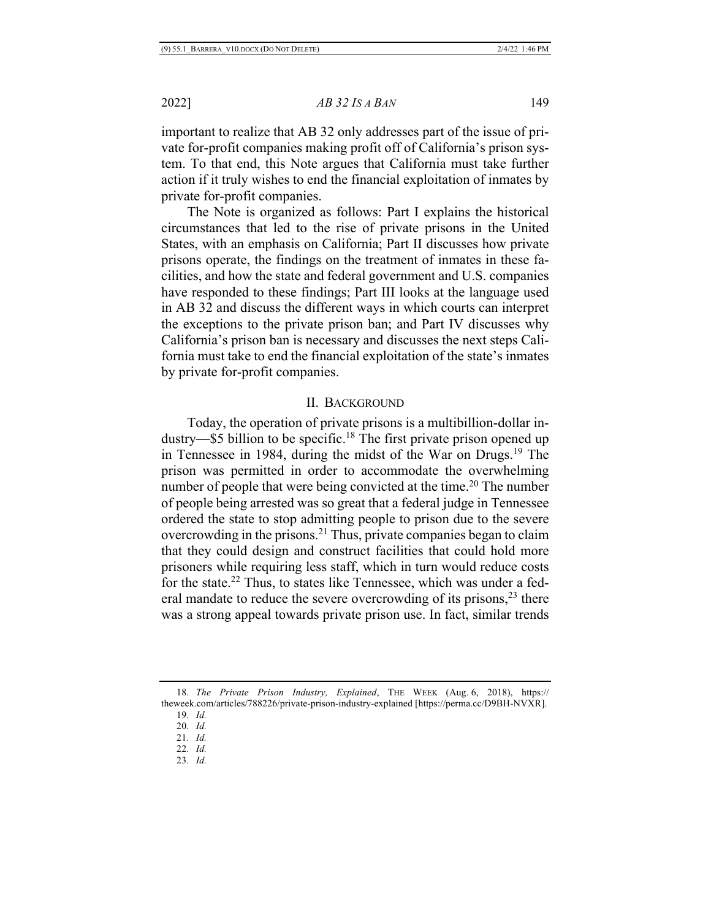important to realize that AB 32 only addresses part of the issue of private for-profit companies making profit off of California's prison system. To that end, this Note argues that California must take further action if it truly wishes to end the financial exploitation of inmates by private for-profit companies.

The Note is organized as follows: Part I explains the historical circumstances that led to the rise of private prisons in the United States, with an emphasis on California; Part II discusses how private prisons operate, the findings on the treatment of inmates in these facilities, and how the state and federal government and U.S. companies have responded to these findings; Part III looks at the language used in AB 32 and discuss the different ways in which courts can interpret the exceptions to the private prison ban; and Part IV discusses why California's prison ban is necessary and discusses the next steps California must take to end the financial exploitation of the state's inmates by private for-profit companies.

#### II. BACKGROUND

Today, the operation of private prisons is a multibillion-dollar industry—\$5 billion to be specific.<sup>18</sup> The first private prison opened up in Tennessee in 1984, during the midst of the War on Drugs.<sup>19</sup> The prison was permitted in order to accommodate the overwhelming number of people that were being convicted at the time.<sup>20</sup> The number of people being arrested was so great that a federal judge in Tennessee ordered the state to stop admitting people to prison due to the severe overcrowding in the prisons.21 Thus, private companies began to claim that they could design and construct facilities that could hold more prisoners while requiring less staff, which in turn would reduce costs for the state.22 Thus, to states like Tennessee, which was under a federal mandate to reduce the severe overcrowding of its prisons, $^{23}$  there was a strong appeal towards private prison use. In fact, similar trends

<sup>18</sup>*. The Private Prison Industry, Explained*, THE WEEK (Aug. 6, 2018), https:// theweek.com/articles/788226/private-prison-industry-explained [https://perma.cc/D9BH-NVXR].

<sup>19</sup>*. Id.*

<sup>20</sup>*. Id.*

<sup>21</sup>*. Id.*

<sup>22</sup>*. Id.*

<sup>23</sup>*. Id.*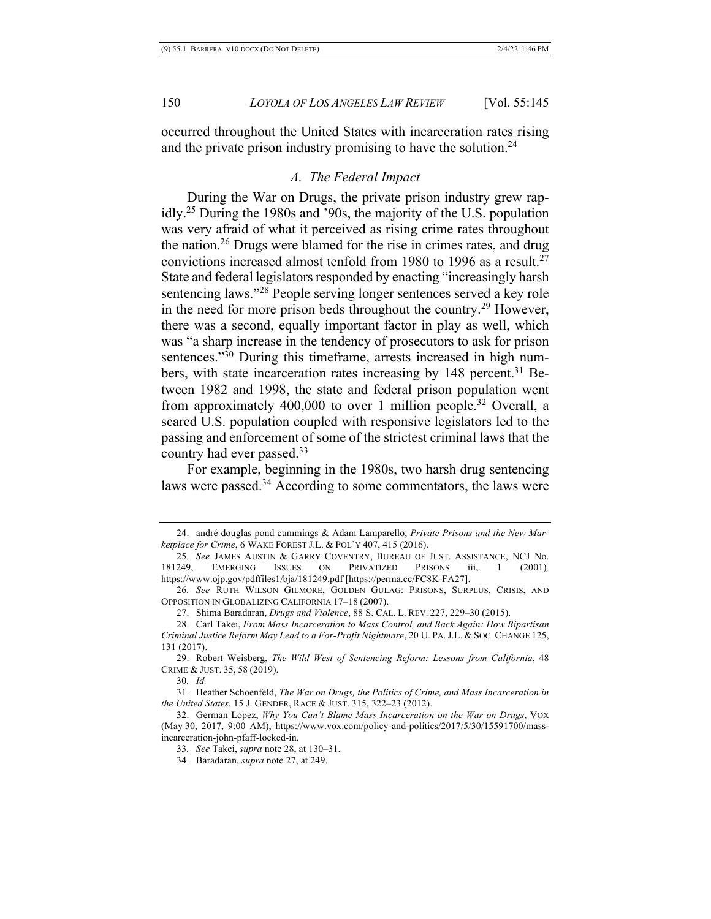occurred throughout the United States with incarceration rates rising and the private prison industry promising to have the solution.<sup>24</sup>

# *A. The Federal Impact*

During the War on Drugs, the private prison industry grew rapidly.25 During the 1980s and '90s, the majority of the U.S. population was very afraid of what it perceived as rising crime rates throughout the nation.26 Drugs were blamed for the rise in crimes rates, and drug convictions increased almost tenfold from 1980 to 1996 as a result.<sup>27</sup> State and federal legislators responded by enacting "increasingly harsh sentencing laws."<sup>28</sup> People serving longer sentences served a key role in the need for more prison beds throughout the country.29 However, there was a second, equally important factor in play as well, which was "a sharp increase in the tendency of prosecutors to ask for prison sentences."<sup>30</sup> During this timeframe, arrests increased in high numbers, with state incarceration rates increasing by 148 percent.<sup>31</sup> Between 1982 and 1998, the state and federal prison population went from approximately 400,000 to over 1 million people.32 Overall, a scared U.S. population coupled with responsive legislators led to the passing and enforcement of some of the strictest criminal laws that the country had ever passed.33

For example, beginning in the 1980s, two harsh drug sentencing laws were passed.<sup>34</sup> According to some commentators, the laws were

27. Shima Baradaran, *Drugs and Violence*, 88 S. CAL. L. REV. 227, 229–30 (2015).

- 28. Carl Takei, *From Mass Incarceration to Mass Control, and Back Again: How Bipartisan Criminal Justice Reform May Lead to a For-Profit Nightmare*, 20 U. PA.J.L. & SOC. CHANGE 125, 131 (2017).
- 29. Robert Weisberg, *The Wild West of Sentencing Reform: Lessons from California*, 48 CRIME & JUST. 35, 58 (2019).

<sup>24.</sup> andré douglas pond cummings & Adam Lamparello, *Private Prisons and the New Marketplace for Crime*, 6 WAKE FOREST J.L. & POL'Y 407, 415 (2016).

<sup>25</sup>*. See* JAMES AUSTIN & GARRY COVENTRY, BUREAU OF JUST. ASSISTANCE, NCJ No. 181249, EMERGING ISSUES ON PRIVATIZED PRISONS iii, 1 (2001)*,*  https://www.ojp.gov/pdffiles1/bja/181249.pdf [https://perma.cc/FC8K-FA27].

<sup>26</sup>*. See* RUTH WILSON GILMORE, GOLDEN GULAG: PRISONS, SURPLUS, CRISIS, AND OPPOSITION IN GLOBALIZING CALIFORNIA 17–18 (2007).

<sup>30</sup>*. Id.*

<sup>31.</sup> Heather Schoenfeld, *The War on Drugs, the Politics of Crime, and Mass Incarceration in the United States*, 15 J. GENDER, RACE & JUST. 315, 322–23 (2012).

<sup>32.</sup> German Lopez, *Why You Can't Blame Mass Incarceration on the War on Drugs*, VOX (May 30, 2017, 9:00 AM), https://www.vox.com/policy-and-politics/2017/5/30/15591700/massincarceration-john-pfaff-locked-in.

<sup>33</sup>*. See* Takei, *supra* note 28, at 130–31.

<sup>34.</sup> Baradaran, *supra* note 27, at 249.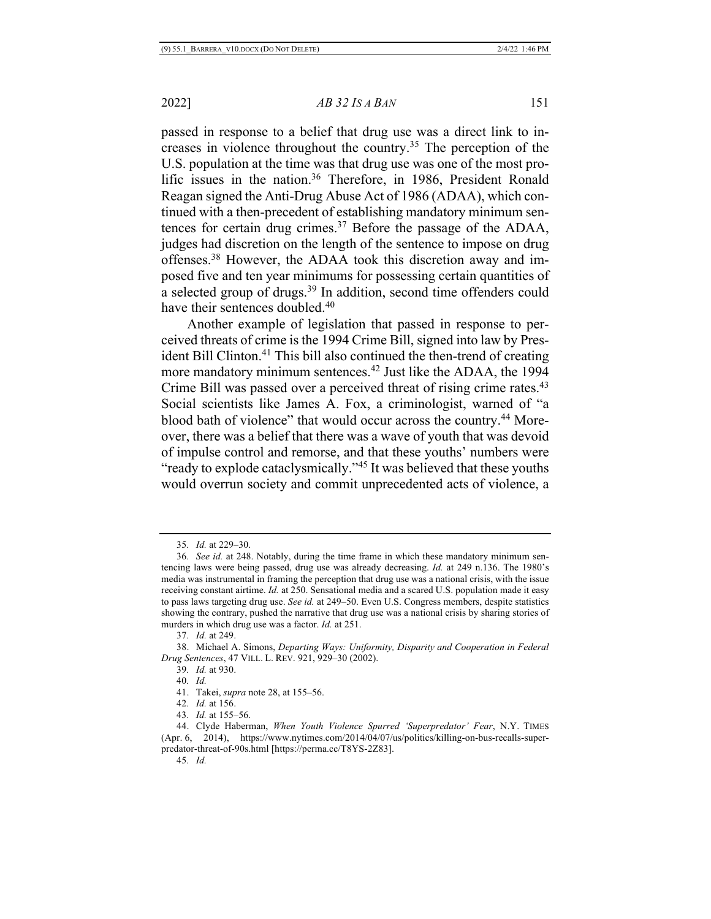passed in response to a belief that drug use was a direct link to increases in violence throughout the country.35 The perception of the U.S. population at the time was that drug use was one of the most prolific issues in the nation.<sup>36</sup> Therefore, in 1986, President Ronald Reagan signed the Anti-Drug Abuse Act of 1986 (ADAA), which continued with a then-precedent of establishing mandatory minimum sentences for certain drug crimes.37 Before the passage of the ADAA, judges had discretion on the length of the sentence to impose on drug offenses.38 However, the ADAA took this discretion away and imposed five and ten year minimums for possessing certain quantities of a selected group of drugs.39 In addition, second time offenders could have their sentences doubled.<sup>40</sup>

Another example of legislation that passed in response to perceived threats of crime is the 1994 Crime Bill, signed into law by President Bill Clinton.<sup>41</sup> This bill also continued the then-trend of creating more mandatory minimum sentences.<sup>42</sup> Just like the ADAA, the 1994 Crime Bill was passed over a perceived threat of rising crime rates.<sup>43</sup> Social scientists like James A. Fox, a criminologist, warned of "a blood bath of violence" that would occur across the country.<sup>44</sup> Moreover, there was a belief that there was a wave of youth that was devoid of impulse control and remorse, and that these youths' numbers were "ready to explode cataclysmically."45 It was believed that these youths would overrun society and commit unprecedented acts of violence, a

<sup>35</sup>*. Id.* at 229–30.

<sup>36</sup>*. See id.* at 248. Notably, during the time frame in which these mandatory minimum sentencing laws were being passed, drug use was already decreasing. *Id.* at 249 n.136. The 1980's media was instrumental in framing the perception that drug use was a national crisis, with the issue receiving constant airtime. *Id.* at 250. Sensational media and a scared U.S. population made it easy to pass laws targeting drug use. *See id.* at 249–50. Even U.S. Congress members, despite statistics showing the contrary, pushed the narrative that drug use was a national crisis by sharing stories of murders in which drug use was a factor. *Id.* at 251.

<sup>37</sup>*. Id.* at 249.

<sup>38.</sup> Michael A. Simons, *Departing Ways: Uniformity, Disparity and Cooperation in Federal Drug Sentences*, 47 VILL. L. REV. 921, 929–30 (2002).

<sup>39</sup>*. Id.* at 930.

<sup>40</sup>*. Id.*

<sup>41.</sup> Takei, *supra* note 28, at 155–56.

<sup>42</sup>*. Id.* at 156.

<sup>43</sup>*. Id.* at 155–56.

<sup>44.</sup> Clyde Haberman, *When Youth Violence Spurred 'Superpredator' Fear*, N.Y. TIMES (Apr. 6, 2014), https://www.nytimes.com/2014/04/07/us/politics/killing-on-bus-recalls-superpredator-threat-of-90s.html [https://perma.cc/T8YS-2Z83].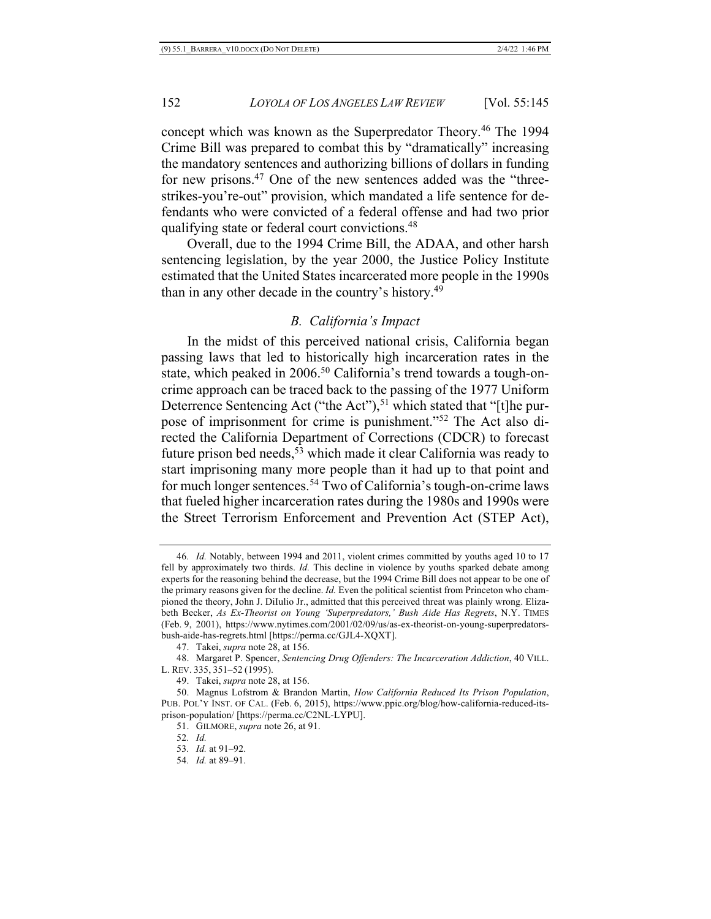concept which was known as the Superpredator Theory.46 The 1994 Crime Bill was prepared to combat this by "dramatically" increasing the mandatory sentences and authorizing billions of dollars in funding for new prisons.<sup>47</sup> One of the new sentences added was the "threestrikes-you're-out" provision, which mandated a life sentence for defendants who were convicted of a federal offense and had two prior qualifying state or federal court convictions.48

Overall, due to the 1994 Crime Bill, the ADAA, and other harsh sentencing legislation, by the year 2000, the Justice Policy Institute estimated that the United States incarcerated more people in the 1990s than in any other decade in the country's history.49

#### *B. California's Impact*

In the midst of this perceived national crisis, California began passing laws that led to historically high incarceration rates in the state, which peaked in 2006.<sup>50</sup> California's trend towards a tough-oncrime approach can be traced back to the passing of the 1977 Uniform Deterrence Sentencing Act ("the Act"),<sup>51</sup> which stated that "[t]he purpose of imprisonment for crime is punishment."52 The Act also directed the California Department of Corrections (CDCR) to forecast future prison bed needs,  $53$  which made it clear California was ready to start imprisoning many more people than it had up to that point and for much longer sentences.<sup>54</sup> Two of California's tough-on-crime laws that fueled higher incarceration rates during the 1980s and 1990s were the Street Terrorism Enforcement and Prevention Act (STEP Act),

<sup>46</sup>*. Id.* Notably, between 1994 and 2011, violent crimes committed by youths aged 10 to 17 fell by approximately two thirds. *Id.* This decline in violence by youths sparked debate among experts for the reasoning behind the decrease, but the 1994 Crime Bill does not appear to be one of the primary reasons given for the decline. *Id.* Even the political scientist from Princeton who championed the theory, John J. DiIulio Jr., admitted that this perceived threat was plainly wrong. Elizabeth Becker, *As Ex-Theorist on Young 'Superpredators,' Bush Aide Has Regrets*, N.Y. TIMES (Feb. 9, 2001), https://www.nytimes.com/2001/02/09/us/as-ex-theorist-on-young-superpredatorsbush-aide-has-regrets.html [https://perma.cc/GJL4-XQXT].

<sup>47.</sup> Takei, *supra* note 28, at 156.

<sup>48.</sup> Margaret P. Spencer, *Sentencing Drug Offenders: The Incarceration Addiction*, 40 VILL. L. REV. 335, 351–52 (1995).

<sup>49.</sup> Takei, *supra* note 28, at 156.

<sup>50.</sup> Magnus Lofstrom & Brandon Martin, *How California Reduced Its Prison Population*, PUB. POL'Y INST. OF CAL. (Feb. 6, 2015), https://www.ppic.org/blog/how-california-reduced-itsprison-population/ [https://perma.cc/C2NL-LYPU].

<sup>51.</sup> GILMORE, *supra* note 26, at 91.

<sup>52</sup>*. Id.*

<sup>53</sup>*. Id.* at 91–92.

<sup>54</sup>*. Id.* at 89–91.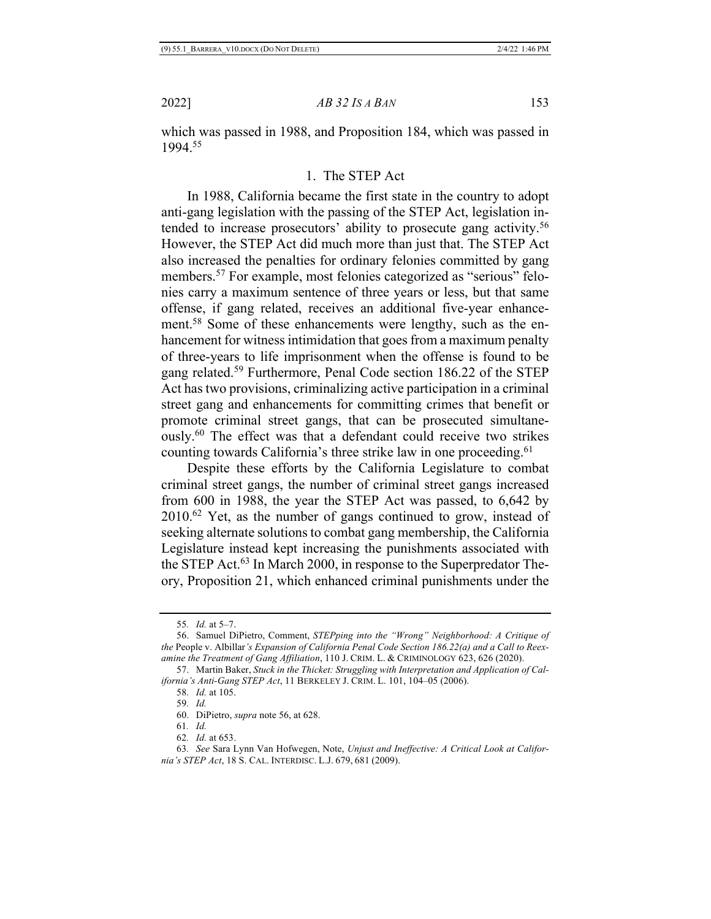which was passed in 1988, and Proposition 184, which was passed in 1994.55

# 1. The STEP Act

In 1988, California became the first state in the country to adopt anti-gang legislation with the passing of the STEP Act, legislation intended to increase prosecutors' ability to prosecute gang activity.<sup>56</sup> However, the STEP Act did much more than just that. The STEP Act also increased the penalties for ordinary felonies committed by gang members.57 For example, most felonies categorized as "serious" felonies carry a maximum sentence of three years or less, but that same offense, if gang related, receives an additional five-year enhancement.<sup>58</sup> Some of these enhancements were lengthy, such as the enhancement for witness intimidation that goes from a maximum penalty of three-years to life imprisonment when the offense is found to be gang related.59 Furthermore, Penal Code section 186.22 of the STEP Act has two provisions, criminalizing active participation in a criminal street gang and enhancements for committing crimes that benefit or promote criminal street gangs, that can be prosecuted simultaneously.60 The effect was that a defendant could receive two strikes counting towards California's three strike law in one proceeding.<sup>61</sup>

Despite these efforts by the California Legislature to combat criminal street gangs, the number of criminal street gangs increased from 600 in 1988, the year the STEP Act was passed, to 6,642 by 2010.62 Yet, as the number of gangs continued to grow, instead of seeking alternate solutions to combat gang membership, the California Legislature instead kept increasing the punishments associated with the STEP Act.<sup>63</sup> In March 2000, in response to the Superpredator Theory, Proposition 21, which enhanced criminal punishments under the

<sup>55</sup>*. Id.* at 5–7.

<sup>56.</sup> Samuel DiPietro, Comment, *STEPping into the "Wrong" Neighborhood: A Critique of the* People v. Albillar*'s Expansion of California Penal Code Section 186.22(a) and a Call to Reexamine the Treatment of Gang Affiliation*, 110 J. CRIM. L. & CRIMINOLOGY 623, 626 (2020).

<sup>57.</sup> Martin Baker, *Stuck in the Thicket: Struggling with Interpretation and Application of California's Anti-Gang STEP Act*, 11 BERKELEY J. CRIM. L. 101, 104–05 (2006).

<sup>58</sup>*. Id.* at 105.

<sup>59</sup>*. Id.*

<sup>60.</sup> DiPietro, *supra* note 56, at 628.

<sup>61</sup>*. Id.*

<sup>62</sup>*. Id.* at 653.

<sup>63</sup>*. See* Sara Lynn Van Hofwegen, Note, *Unjust and Ineffective: A Critical Look at California's STEP Act*, 18 S. CAL. INTERDISC. L.J. 679, 681 (2009).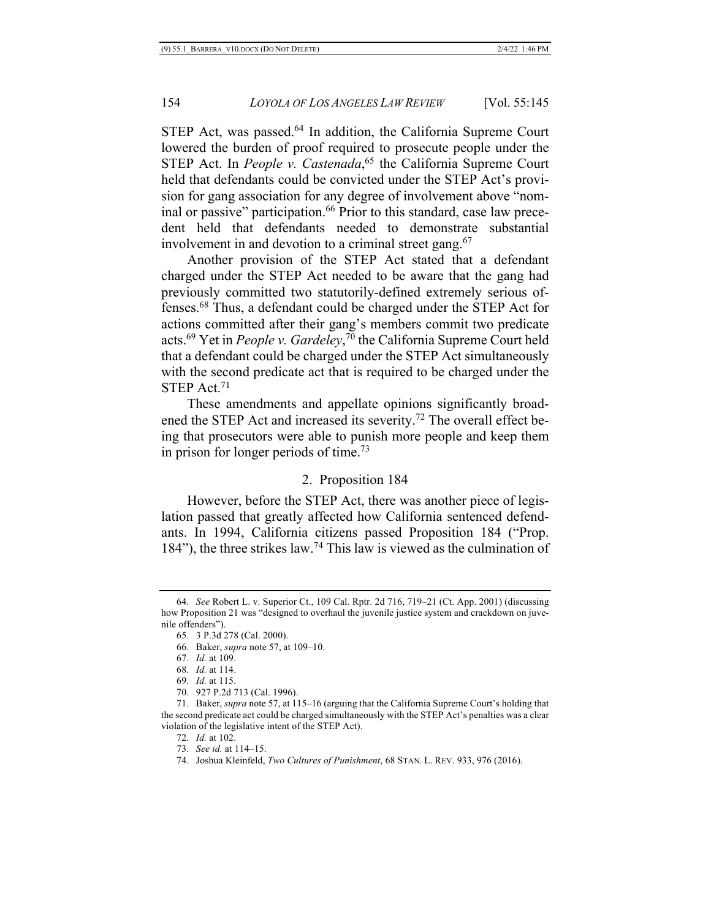STEP Act, was passed.<sup>64</sup> In addition, the California Supreme Court lowered the burden of proof required to prosecute people under the STEP Act. In *People v. Castenada*,<sup>65</sup> the California Supreme Court held that defendants could be convicted under the STEP Act's provision for gang association for any degree of involvement above "nominal or passive" participation.<sup>66</sup> Prior to this standard, case law precedent held that defendants needed to demonstrate substantial involvement in and devotion to a criminal street gang.<sup>67</sup>

Another provision of the STEP Act stated that a defendant charged under the STEP Act needed to be aware that the gang had previously committed two statutorily-defined extremely serious offenses.68 Thus, a defendant could be charged under the STEP Act for actions committed after their gang's members commit two predicate acts.69 Yet in *People v. Gardeley*, <sup>70</sup> the California Supreme Court held that a defendant could be charged under the STEP Act simultaneously with the second predicate act that is required to be charged under the STEP Act.<sup>71</sup>

These amendments and appellate opinions significantly broadened the STEP Act and increased its severity.<sup>72</sup> The overall effect being that prosecutors were able to punish more people and keep them in prison for longer periods of time.73

## 2. Proposition 184

However, before the STEP Act, there was another piece of legislation passed that greatly affected how California sentenced defendants. In 1994, California citizens passed Proposition 184 ("Prop. 184"), the three strikes law.74 This law is viewed as the culmination of

- 69*. Id.* at 115.
- 70. 927 P.2d 713 (Cal. 1996).

<sup>64</sup>*. See* Robert L. v. Superior Ct., 109 Cal. Rptr. 2d 716, 719–21 (Ct. App. 2001) (discussing how Proposition 21 was "designed to overhaul the juvenile justice system and crackdown on juvenile offenders").

<sup>65.</sup> 3 P.3d 278 (Cal. 2000).

<sup>66.</sup> Baker, *supra* note 57, at 109–10.

<sup>67</sup>*. Id.* at 109.

<sup>68</sup>*. Id.* at 114.

<sup>71.</sup> Baker, *supra* note 57, at 115–16 (arguing that the California Supreme Court's holding that the second predicate act could be charged simultaneously with the STEP Act's penalties was a clear violation of the legislative intent of the STEP Act).

<sup>72</sup>*. Id.* at 102.

<sup>73</sup>*. See id.* at 114–15.

<sup>74.</sup> Joshua Kleinfeld, *Two Cultures of Punishment*, 68 STAN. L. REV. 933, 976 (2016).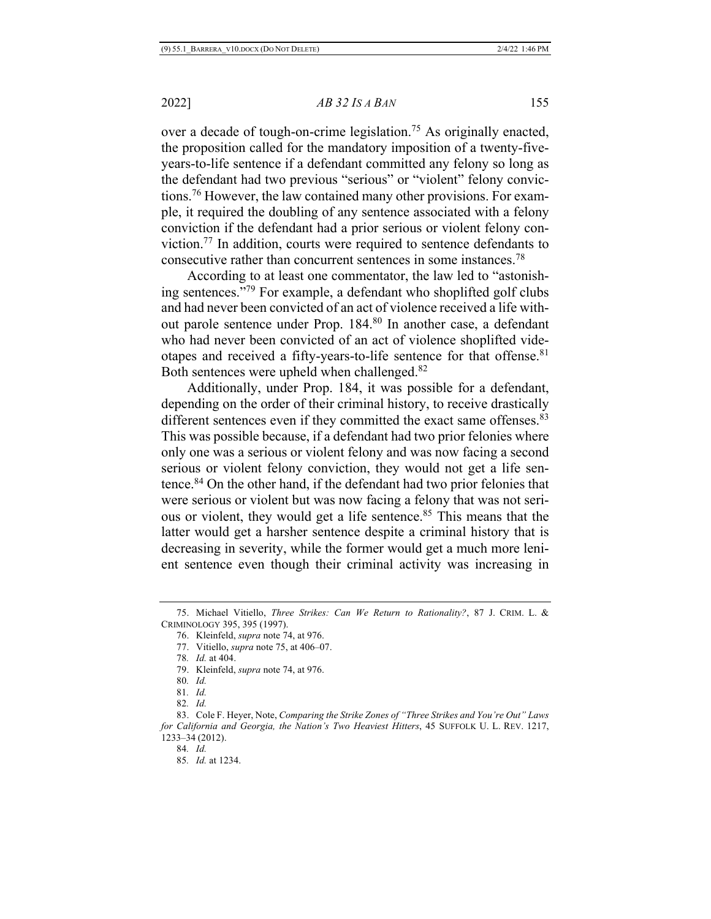over a decade of tough-on-crime legislation.<sup>75</sup> As originally enacted, the proposition called for the mandatory imposition of a twenty-fiveyears-to-life sentence if a defendant committed any felony so long as the defendant had two previous "serious" or "violent" felony convictions.76 However, the law contained many other provisions. For example, it required the doubling of any sentence associated with a felony conviction if the defendant had a prior serious or violent felony conviction.77 In addition, courts were required to sentence defendants to consecutive rather than concurrent sentences in some instances.78

According to at least one commentator, the law led to "astonishing sentences."79 For example, a defendant who shoplifted golf clubs and had never been convicted of an act of violence received a life without parole sentence under Prop. 184.80 In another case, a defendant who had never been convicted of an act of violence shoplifted videotapes and received a fifty-years-to-life sentence for that offense.<sup>81</sup> Both sentences were upheld when challenged.82

Additionally, under Prop. 184, it was possible for a defendant, depending on the order of their criminal history, to receive drastically different sentences even if they committed the exact same offenses.<sup>83</sup> This was possible because, if a defendant had two prior felonies where only one was a serious or violent felony and was now facing a second serious or violent felony conviction, they would not get a life sentence.84 On the other hand, if the defendant had two prior felonies that were serious or violent but was now facing a felony that was not serious or violent, they would get a life sentence.<sup>85</sup> This means that the latter would get a harsher sentence despite a criminal history that is decreasing in severity, while the former would get a much more lenient sentence even though their criminal activity was increasing in

<sup>75.</sup> Michael Vitiello, *Three Strikes: Can We Return to Rationality?*, 87 J. CRIM. L. & CRIMINOLOGY 395, 395 (1997).

<sup>76.</sup> Kleinfeld, *supra* note 74, at 976.

<sup>77.</sup> Vitiello, *supra* note 75, at 406–07.

<sup>78</sup>*. Id.* at 404.

<sup>79.</sup> Kleinfeld, *supra* note 74, at 976.

<sup>80</sup>*. Id.*

<sup>81</sup>*. Id.*

<sup>82</sup>*. Id.*

<sup>83.</sup> Cole F. Heyer, Note, *Comparing the Strike Zones of "Three Strikes and You're Out" Laws for California and Georgia, the Nation's Two Heaviest Hitters*, 45 SUFFOLK U. L. REV. 1217, 1233–34 (2012).

<sup>84</sup>*. Id.*

<sup>85</sup>*. Id.* at 1234.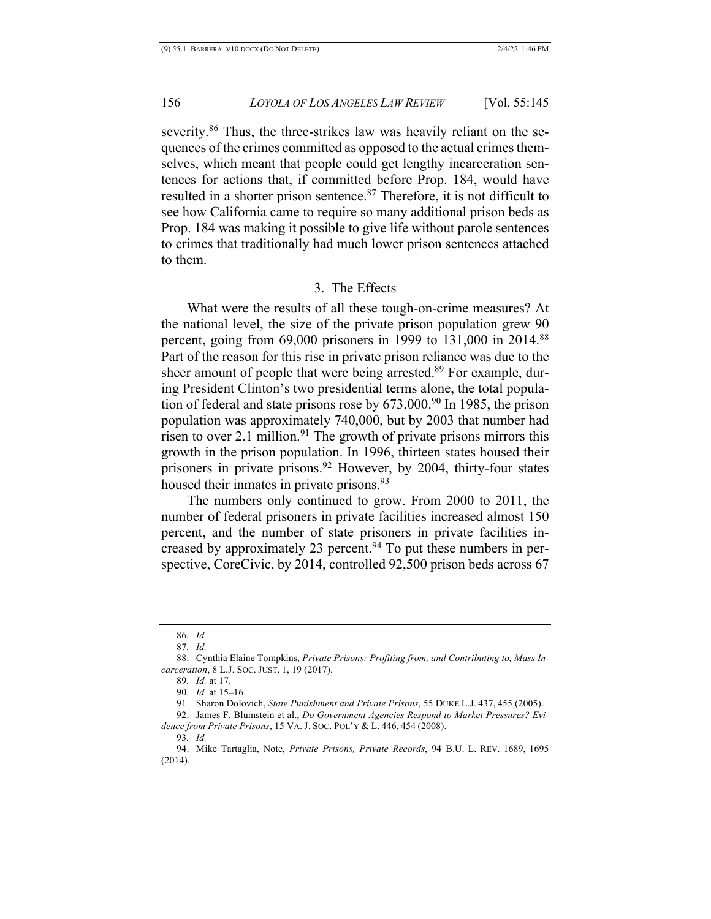severity.<sup>86</sup> Thus, the three-strikes law was heavily reliant on the sequences of the crimes committed as opposed to the actual crimes themselves, which meant that people could get lengthy incarceration sentences for actions that, if committed before Prop. 184, would have resulted in a shorter prison sentence.<sup>87</sup> Therefore, it is not difficult to see how California came to require so many additional prison beds as Prop. 184 was making it possible to give life without parole sentences to crimes that traditionally had much lower prison sentences attached to them.

#### 3. The Effects

What were the results of all these tough-on-crime measures? At the national level, the size of the private prison population grew 90 percent, going from  $69,000$  prisoners in 1999 to 131,000 in 2014.<sup>88</sup> Part of the reason for this rise in private prison reliance was due to the sheer amount of people that were being arrested.<sup>89</sup> For example, during President Clinton's two presidential terms alone, the total population of federal and state prisons rose by  $673,000$ .<sup>90</sup> In 1985, the prison population was approximately 740,000, but by 2003 that number had risen to over 2.1 million.<sup>91</sup> The growth of private prisons mirrors this growth in the prison population. In 1996, thirteen states housed their prisoners in private prisons.<sup>92</sup> However, by 2004, thirty-four states housed their inmates in private prisons.<sup>93</sup>

The numbers only continued to grow. From 2000 to 2011, the number of federal prisoners in private facilities increased almost 150 percent, and the number of state prisoners in private facilities increased by approximately 23 percent. $94$  To put these numbers in perspective, CoreCivic, by 2014, controlled 92,500 prison beds across 67

<sup>86</sup>*. Id.*

<sup>87</sup>*. Id.*

<sup>88.</sup> Cynthia Elaine Tompkins, *Private Prisons: Profiting from, and Contributing to, Mass Incarceration*, 8 L.J. SOC. JUST. 1, 19 (2017).

<sup>89</sup>*. Id.* at 17.

<sup>90</sup>*. Id.* at 15–16.

<sup>91.</sup> Sharon Dolovich, *State Punishment and Private Prisons*, 55 DUKE L.J. 437, 455 (2005).

<sup>92.</sup> James F. Blumstein et al., *Do Government Agencies Respond to Market Pressures? Evidence from Private Prisons*, 15 VA. J. SOC. POL'Y & L. 446, 454 (2008).

<sup>93</sup>*. Id.*

<sup>94.</sup> Mike Tartaglia, Note, *Private Prisons, Private Records*, 94 B.U. L. REV. 1689, 1695 (2014).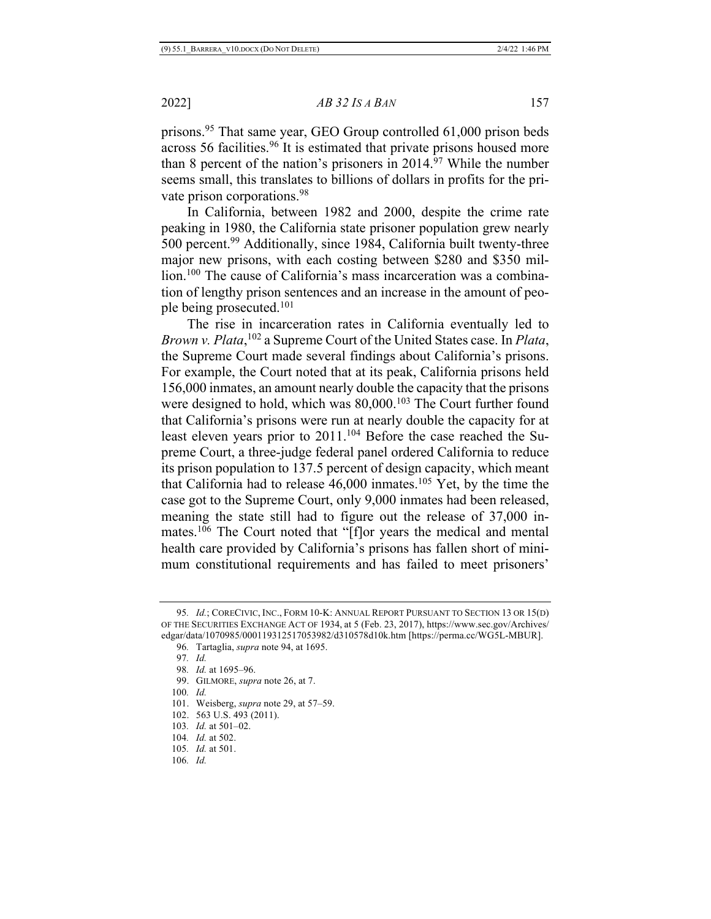prisons.95 That same year, GEO Group controlled 61,000 prison beds across 56 facilities.<sup>96</sup> It is estimated that private prisons housed more than 8 percent of the nation's prisoners in  $2014.^{97}$  While the number seems small, this translates to billions of dollars in profits for the private prison corporations.98

In California, between 1982 and 2000, despite the crime rate peaking in 1980, the California state prisoner population grew nearly 500 percent.99 Additionally, since 1984, California built twenty-three major new prisons, with each costing between \$280 and \$350 million.100 The cause of California's mass incarceration was a combination of lengthy prison sentences and an increase in the amount of people being prosecuted.101

The rise in incarceration rates in California eventually led to *Brown v. Plata*, <sup>102</sup> a Supreme Court of the United States case. In *Plata*, the Supreme Court made several findings about California's prisons. For example, the Court noted that at its peak, California prisons held 156,000 inmates, an amount nearly double the capacity that the prisons were designed to hold, which was 80,000.<sup>103</sup> The Court further found that California's prisons were run at nearly double the capacity for at least eleven years prior to 2011.<sup>104</sup> Before the case reached the Supreme Court, a three-judge federal panel ordered California to reduce its prison population to 137.5 percent of design capacity, which meant that California had to release  $46,000$  inmates.<sup>105</sup> Yet, by the time the case got to the Supreme Court, only 9,000 inmates had been released, meaning the state still had to figure out the release of 37,000 inmates.<sup>106</sup> The Court noted that "[f]or years the medical and mental health care provided by California's prisons has fallen short of minimum constitutional requirements and has failed to meet prisoners'

- 99. GILMORE, *supra* note 26, at 7.
- 100*. Id.*
- 101. Weisberg, *supra* note 29, at 57–59.
- 102. 563 U.S. 493 (2011).
- 103*. Id.* at 501–02.
- 104*. Id.* at 502.
- 105*. Id.* at 501.
- 106*. Id.*

<sup>95</sup>*. Id.*; CORECIVIC, INC., FORM 10-K: ANNUAL REPORT PURSUANT TO SECTION 13 OR 15(D) OF THE SECURITIES EXCHANGE ACT OF 1934, at 5 (Feb. 23, 2017), https://www.sec.gov/Archives/ edgar/data/1070985/000119312517053982/d310578d10k.htm [https://perma.cc/WG5L-MBUR].

<sup>96</sup>*.* Tartaglia, *supra* note 94, at 1695.

<sup>97</sup>*. Id.*

<sup>98</sup>*. Id.* at 1695–96.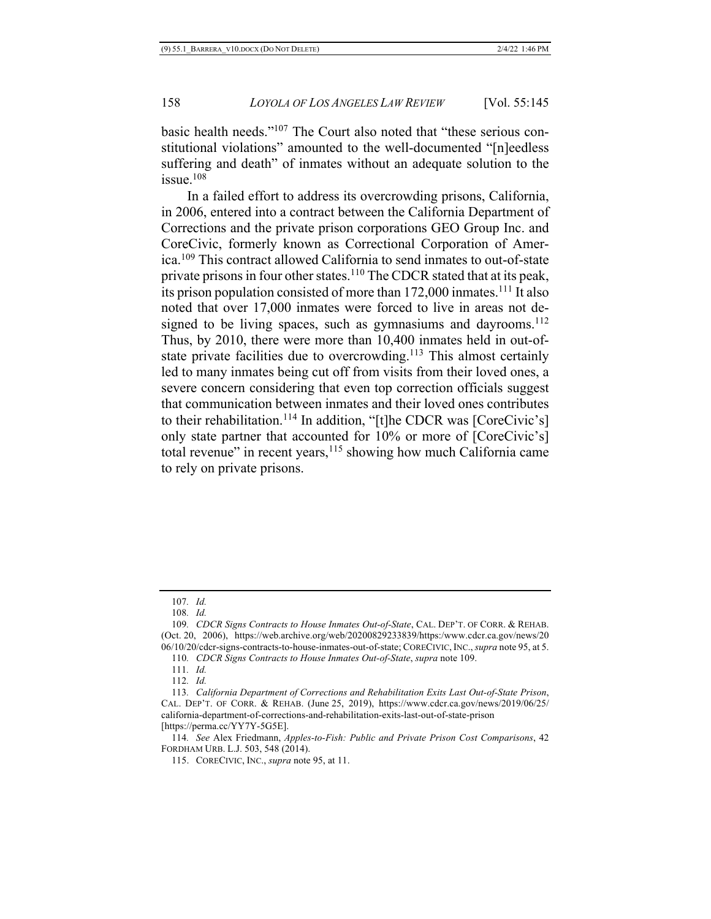basic health needs."107 The Court also noted that "these serious constitutional violations" amounted to the well-documented "[n]eedless suffering and death" of inmates without an adequate solution to the  $i$ ssue.<sup>108</sup>

In a failed effort to address its overcrowding prisons, California, in 2006, entered into a contract between the California Department of Corrections and the private prison corporations GEO Group Inc. and CoreCivic, formerly known as Correctional Corporation of America.109 This contract allowed California to send inmates to out-of-state private prisons in four other states.<sup>110</sup> The CDCR stated that at its peak, its prison population consisted of more than  $172,000$  inmates.<sup>111</sup> It also noted that over 17,000 inmates were forced to live in areas not designed to be living spaces, such as gymnasiums and dayrooms. $112$ Thus, by 2010, there were more than 10,400 inmates held in out-ofstate private facilities due to overcrowding.<sup>113</sup> This almost certainly led to many inmates being cut off from visits from their loved ones, a severe concern considering that even top correction officials suggest that communication between inmates and their loved ones contributes to their rehabilitation.<sup>114</sup> In addition, "[t]he CDCR was [CoreCivic's] only state partner that accounted for 10% or more of [CoreCivic's] total revenue" in recent years, $115$  showing how much California came to rely on private prisons.

114*. See* Alex Friedmann, *Apples-to-Fish: Public and Private Prison Cost Comparisons*, 42 FORDHAM URB. L.J. 503, 548 (2014).

115. CORECIVIC, INC., *supra* note 95, at 11.

<sup>107</sup>*. Id.*

<sup>108</sup>*. Id.*

<sup>109</sup>*. CDCR Signs Contracts to House Inmates Out-of-State*, CAL. DEP'T. OF CORR. & REHAB. (Oct. 20, 2006), https://web.archive.org/web/20200829233839/https:/www.cdcr.ca.gov/news/20 06/10/20/cdcr-signs-contracts-to-house-inmates-out-of-state; CORECIVIC, INC., *supra* note 95, at 5.

<sup>110</sup>*. CDCR Signs Contracts to House Inmates Out-of-State*, *supra* note 109.

<sup>111</sup>*. Id.*

<sup>112</sup>*. Id.* 

<sup>113</sup>*. California Department of Corrections and Rehabilitation Exits Last Out-of-State Prison*, CAL. DEP'T. OF CORR. & REHAB. (June 25, 2019), https://www.cdcr.ca.gov/news/2019/06/25/ california-department-of-corrections-and-rehabilitation-exits-last-out-of-state-prison [https://perma.cc/YY7Y-5G5E].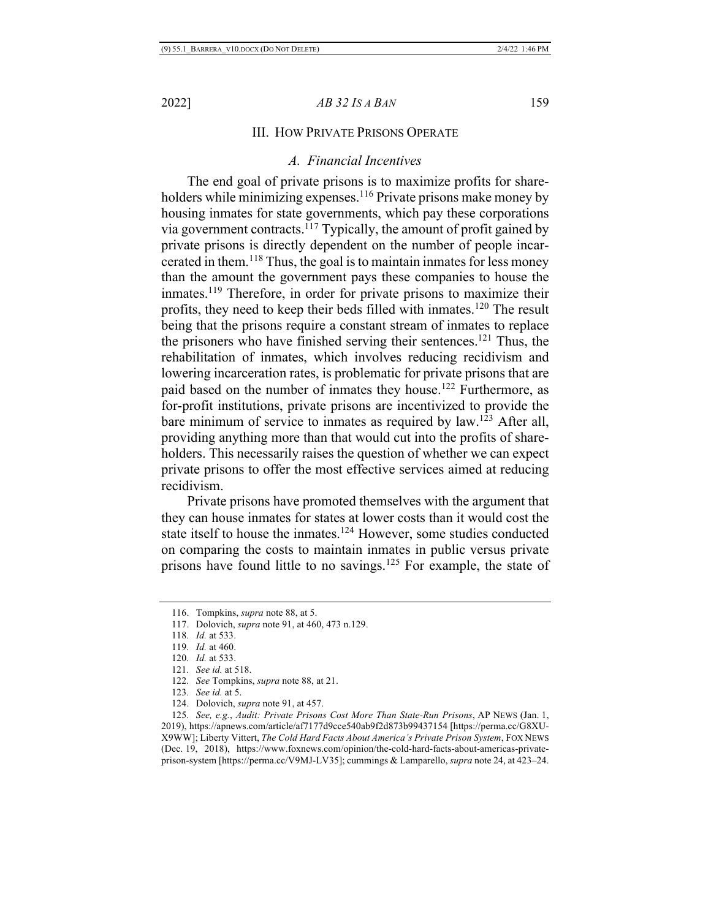# III. HOW PRIVATE PRISONS OPERATE

# *A. Financial Incentives*

The end goal of private prisons is to maximize profits for shareholders while minimizing expenses.<sup>116</sup> Private prisons make money by housing inmates for state governments, which pay these corporations via government contracts.117 Typically, the amount of profit gained by private prisons is directly dependent on the number of people incarcerated in them.118 Thus, the goal is to maintain inmates for less money than the amount the government pays these companies to house the inmates.<sup>119</sup> Therefore, in order for private prisons to maximize their profits, they need to keep their beds filled with inmates.120 The result being that the prisons require a constant stream of inmates to replace the prisoners who have finished serving their sentences.<sup>121</sup> Thus, the rehabilitation of inmates, which involves reducing recidivism and lowering incarceration rates, is problematic for private prisons that are paid based on the number of inmates they house.122 Furthermore, as for-profit institutions, private prisons are incentivized to provide the bare minimum of service to inmates as required by law.<sup>123</sup> After all, providing anything more than that would cut into the profits of shareholders. This necessarily raises the question of whether we can expect private prisons to offer the most effective services aimed at reducing recidivism.

Private prisons have promoted themselves with the argument that they can house inmates for states at lower costs than it would cost the state itself to house the inmates.<sup>124</sup> However, some studies conducted on comparing the costs to maintain inmates in public versus private prisons have found little to no savings.<sup>125</sup> For example, the state of

<sup>116.</sup> Tompkins, *supra* note 88, at 5.

<sup>117.</sup> Dolovich, *supra* note 91, at 460, 473 n.129.

<sup>118</sup>*. Id.* at 533.

<sup>119</sup>*. Id.* at 460.

<sup>120</sup>*. Id.* at 533.

<sup>121</sup>*. See id.* at 518.

<sup>122</sup>*. See* Tompkins, *supra* note 88, at 21.

<sup>123</sup>*. See id.* at 5.

<sup>124.</sup> Dolovich, *supra* note 91, at 457.

<sup>125</sup>*. See, e.g.*, *Audit: Private Prisons Cost More Than State-Run Prisons*, AP NEWS (Jan. 1, 2019), https://apnews.com/article/af7177d9cce540ab9f2d873b99437154 [https://perma.cc/G8XU-X9WW]; Liberty Vittert, *The Cold Hard Facts About America's Private Prison System*, FOX NEWS (Dec. 19, 2018), https://www.foxnews.com/opinion/the-cold-hard-facts-about-americas-privateprison-system [https://perma.cc/V9MJ-LV35]; cummings & Lamparello, *supra* note 24, at 423–24.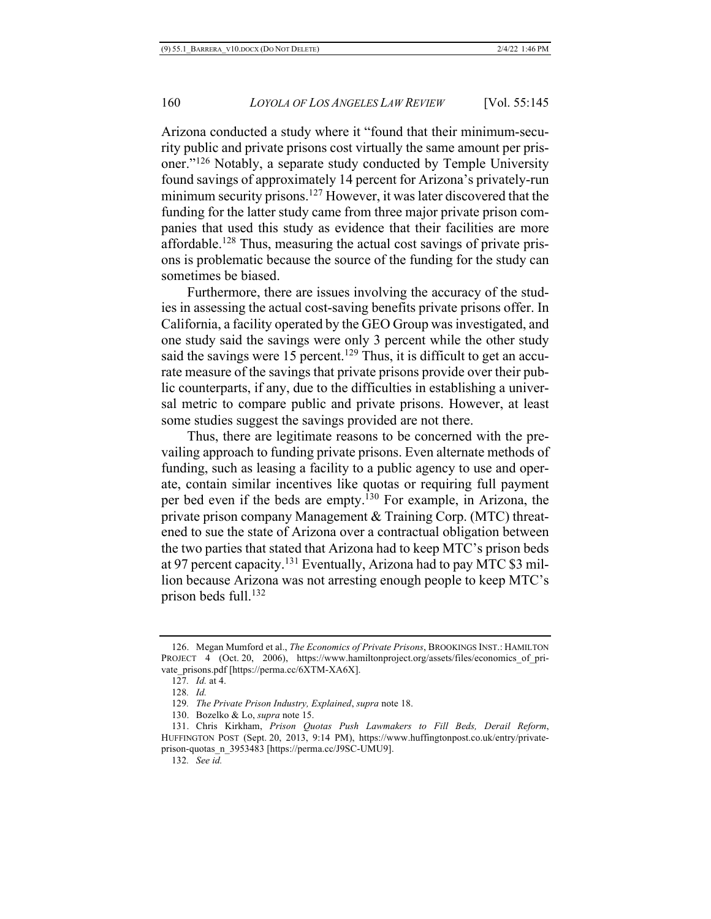Arizona conducted a study where it "found that their minimum-security public and private prisons cost virtually the same amount per prisoner."126 Notably, a separate study conducted by Temple University found savings of approximately 14 percent for Arizona's privately-run minimum security prisons.<sup>127</sup> However, it was later discovered that the funding for the latter study came from three major private prison companies that used this study as evidence that their facilities are more affordable.128 Thus, measuring the actual cost savings of private prisons is problematic because the source of the funding for the study can sometimes be biased.

Furthermore, there are issues involving the accuracy of the studies in assessing the actual cost-saving benefits private prisons offer. In California, a facility operated by the GEO Group was investigated, and one study said the savings were only 3 percent while the other study said the savings were 15 percent.<sup>129</sup> Thus, it is difficult to get an accurate measure of the savings that private prisons provide over their public counterparts, if any, due to the difficulties in establishing a universal metric to compare public and private prisons. However, at least some studies suggest the savings provided are not there.

Thus, there are legitimate reasons to be concerned with the prevailing approach to funding private prisons. Even alternate methods of funding, such as leasing a facility to a public agency to use and operate, contain similar incentives like quotas or requiring full payment per bed even if the beds are empty.<sup>130</sup> For example, in Arizona, the private prison company Management & Training Corp. (MTC) threatened to sue the state of Arizona over a contractual obligation between the two parties that stated that Arizona had to keep MTC's prison beds at 97 percent capacity.131 Eventually, Arizona had to pay MTC \$3 million because Arizona was not arresting enough people to keep MTC's prison beds full.132

<sup>126.</sup> Megan Mumford et al., *The Economics of Private Prisons*, BROOKINGS INST.: HAMILTON PROJECT 4 (Oct. 20, 2006), https://www.hamiltonproject.org/assets/files/economics of private\_prisons.pdf [https://perma.cc/6XTM-XA6X].

<sup>127</sup>*. Id.* at 4.

<sup>128</sup>*. Id.*

<sup>129</sup>*. The Private Prison Industry, Explained*, *supra* note 18.

<sup>130.</sup> Bozelko & Lo, *supra* note 15.

<sup>131.</sup> Chris Kirkham, *Prison Quotas Push Lawmakers to Fill Beds, Derail Reform*, HUFFINGTON POST (Sept. 20, 2013, 9:14 PM), https://www.huffingtonpost.co.uk/entry/privateprison-quotas\_n\_3953483 [https://perma.cc/J9SC-UMU9].

<sup>132</sup>*. See id.*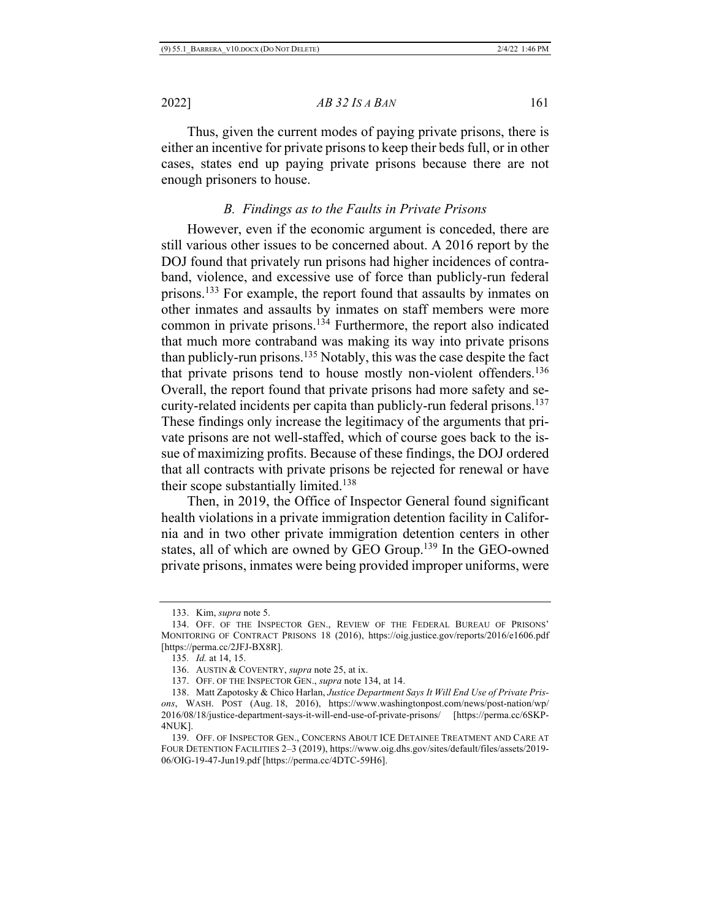Thus, given the current modes of paying private prisons, there is either an incentive for private prisons to keep their beds full, or in other cases, states end up paying private prisons because there are not enough prisoners to house.

# *B. Findings as to the Faults in Private Prisons*

However, even if the economic argument is conceded, there are still various other issues to be concerned about. A 2016 report by the DOJ found that privately run prisons had higher incidences of contraband, violence, and excessive use of force than publicly-run federal prisons.133 For example, the report found that assaults by inmates on other inmates and assaults by inmates on staff members were more common in private prisons.134 Furthermore, the report also indicated that much more contraband was making its way into private prisons than publicly-run prisons.<sup>135</sup> Notably, this was the case despite the fact that private prisons tend to house mostly non-violent offenders.136 Overall, the report found that private prisons had more safety and security-related incidents per capita than publicly-run federal prisons.<sup>137</sup> These findings only increase the legitimacy of the arguments that private prisons are not well-staffed, which of course goes back to the issue of maximizing profits. Because of these findings, the DOJ ordered that all contracts with private prisons be rejected for renewal or have their scope substantially limited.<sup>138</sup>

Then, in 2019, the Office of Inspector General found significant health violations in a private immigration detention facility in California and in two other private immigration detention centers in other states, all of which are owned by GEO Group.139 In the GEO-owned private prisons, inmates were being provided improper uniforms, were

<sup>133.</sup> Kim, *supra* note 5.

<sup>134.</sup> OFF. OF THE INSPECTOR GEN., REVIEW OF THE FEDERAL BUREAU OF PRISONS' MONITORING OF CONTRACT PRISONS 18 (2016), https://oig.justice.gov/reports/2016/e1606.pdf [https://perma.cc/2JFJ-BX8R].

<sup>135</sup>*. Id.* at 14, 15.

<sup>136.</sup> AUSTIN & COVENTRY, *supra* note 25, at ix.

<sup>137.</sup> OFF. OF THE INSPECTOR GEN., *supra* note 134, at 14.

<sup>138.</sup> Matt Zapotosky & Chico Harlan, *Justice Department Says It Will End Use of Private Prisons*, WASH. POST (Aug. 18, 2016), https://www.washingtonpost.com/news/post-nation/wp/ 2016/08/18/justice-department-says-it-will-end-use-of-private-prisons/ [https://perma.cc/6SKP-4NUK].

<sup>139.</sup> OFF. OF INSPECTOR GEN., CONCERNS ABOUT ICE DETAINEE TREATMENT AND CARE AT FOUR DETENTION FACILITIES 2–3 (2019), https://www.oig.dhs.gov/sites/default/files/assets/2019- 06/OIG-19-47-Jun19.pdf [https://perma.cc/4DTC-59H6].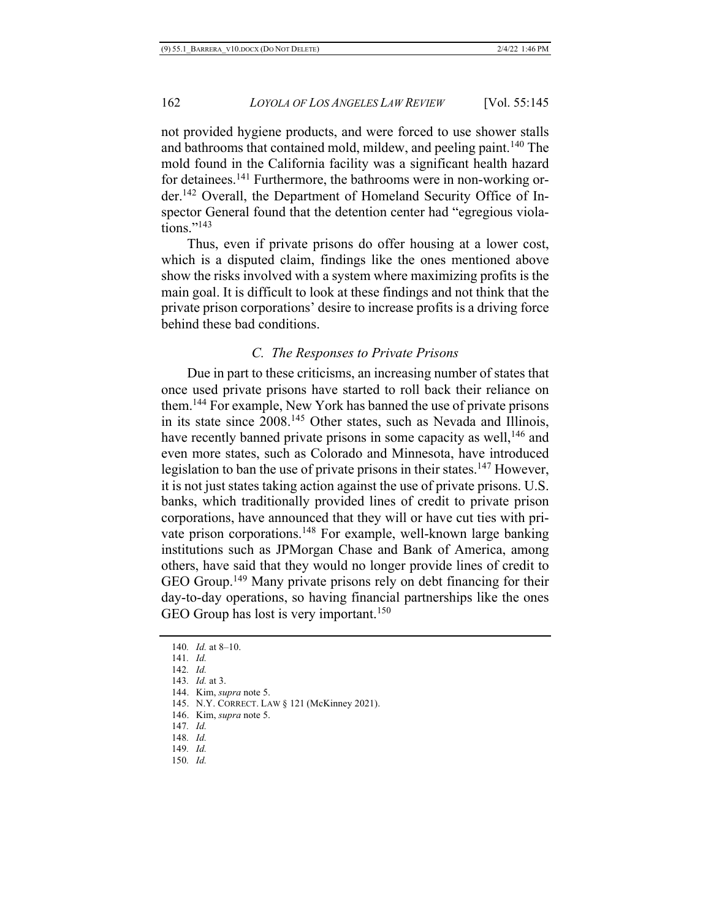not provided hygiene products, and were forced to use shower stalls and bathrooms that contained mold, mildew, and peeling paint.<sup>140</sup> The mold found in the California facility was a significant health hazard for detainees.<sup>141</sup> Furthermore, the bathrooms were in non-working order.142 Overall, the Department of Homeland Security Office of Inspector General found that the detention center had "egregious violations."143

Thus, even if private prisons do offer housing at a lower cost, which is a disputed claim, findings like the ones mentioned above show the risks involved with a system where maximizing profits is the main goal. It is difficult to look at these findings and not think that the private prison corporations' desire to increase profits is a driving force behind these bad conditions.

# *C. The Responses to Private Prisons*

Due in part to these criticisms, an increasing number of states that once used private prisons have started to roll back their reliance on them.144 For example, New York has banned the use of private prisons in its state since 2008.145 Other states, such as Nevada and Illinois, have recently banned private prisons in some capacity as well,<sup>146</sup> and even more states, such as Colorado and Minnesota, have introduced legislation to ban the use of private prisons in their states.<sup>147</sup> However, it is not just states taking action against the use of private prisons. U.S. banks, which traditionally provided lines of credit to private prison corporations, have announced that they will or have cut ties with private prison corporations.<sup>148</sup> For example, well-known large banking institutions such as JPMorgan Chase and Bank of America, among others, have said that they would no longer provide lines of credit to GEO Group.149 Many private prisons rely on debt financing for their day-to-day operations, so having financial partnerships like the ones GEO Group has lost is very important.<sup>150</sup>

- 142*. Id.*
- 143*. Id.* at 3.
- 144. Kim, *supra* note 5.
- 145. N.Y. CORRECT. LAW § 121 (McKinney 2021).
- 146. Kim, *supra* note 5.
- 147*. Id.*
- 148*. Id.*
- 149*. Id.*
- 150*. Id.*

<sup>140</sup>*. Id.* at 8–10.

<sup>141</sup>*. Id.*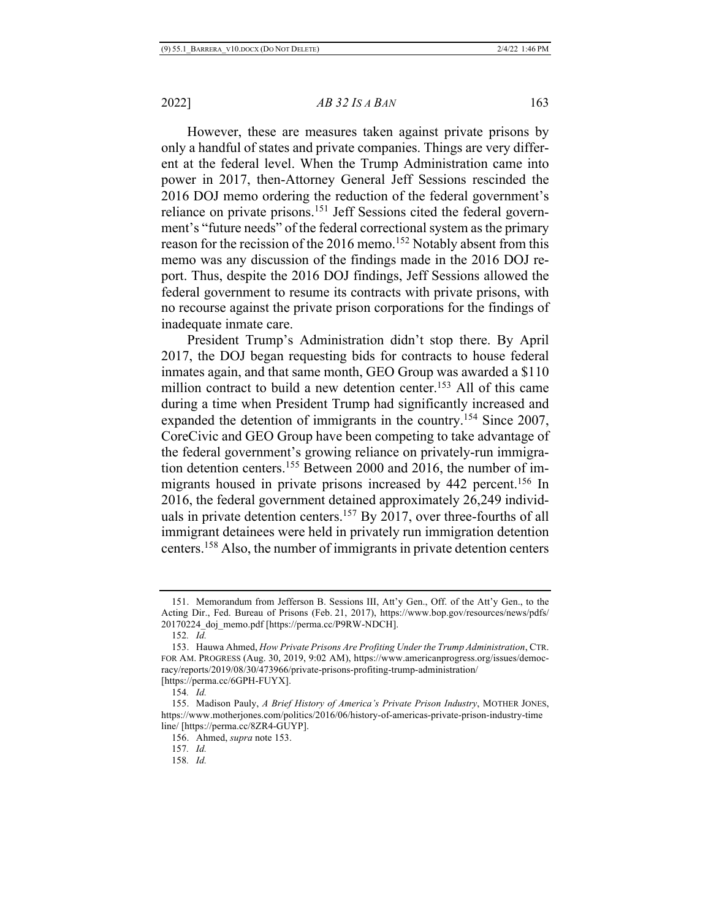However, these are measures taken against private prisons by only a handful of states and private companies. Things are very different at the federal level. When the Trump Administration came into power in 2017, then-Attorney General Jeff Sessions rescinded the 2016 DOJ memo ordering the reduction of the federal government's reliance on private prisons.151 Jeff Sessions cited the federal government's "future needs" of the federal correctional system as the primary reason for the recission of the 2016 memo.<sup>152</sup> Notably absent from this memo was any discussion of the findings made in the 2016 DOJ report. Thus, despite the 2016 DOJ findings, Jeff Sessions allowed the federal government to resume its contracts with private prisons, with no recourse against the private prison corporations for the findings of inadequate inmate care.

President Trump's Administration didn't stop there. By April 2017, the DOJ began requesting bids for contracts to house federal inmates again, and that same month, GEO Group was awarded a \$110 million contract to build a new detention center.<sup>153</sup> All of this came during a time when President Trump had significantly increased and expanded the detention of immigrants in the country.154 Since 2007, CoreCivic and GEO Group have been competing to take advantage of the federal government's growing reliance on privately-run immigration detention centers.155 Between 2000 and 2016, the number of immigrants housed in private prisons increased by 442 percent.<sup>156</sup> In 2016, the federal government detained approximately 26,249 individuals in private detention centers.<sup>157</sup> By 2017, over three-fourths of all immigrant detainees were held in privately run immigration detention centers.158 Also, the number of immigrants in private detention centers

<sup>151.</sup> Memorandum from Jefferson B. Sessions III, Att'y Gen., Off. of the Att'y Gen., to the Acting Dir., Fed. Bureau of Prisons (Feb. 21, 2017), https://www.bop.gov/resources/news/pdfs/ 20170224\_doj\_memo.pdf [https://perma.cc/P9RW-NDCH].

<sup>152</sup>*. Id.*

<sup>153.</sup> Hauwa Ahmed, *How Private Prisons Are Profiting Under the Trump Administration*, CTR. FOR AM. PROGRESS (Aug. 30, 2019, 9:02 AM), https://www.americanprogress.org/issues/democracy/reports/2019/08/30/473966/private-prisons-profiting-trump-administration/ [https://perma.cc/6GPH-FUYX].

<sup>154</sup>*. Id.*

<sup>155.</sup> Madison Pauly, *A Brief History of America's Private Prison Industry*, MOTHER JONES, https://www.motherjones.com/politics/2016/06/history-of-americas-private-prison-industry-time line/ [https://perma.cc/8ZR4-GUYP].

<sup>156.</sup> Ahmed, *supra* note 153.

<sup>157</sup>*. Id.*

<sup>158</sup>*. Id.*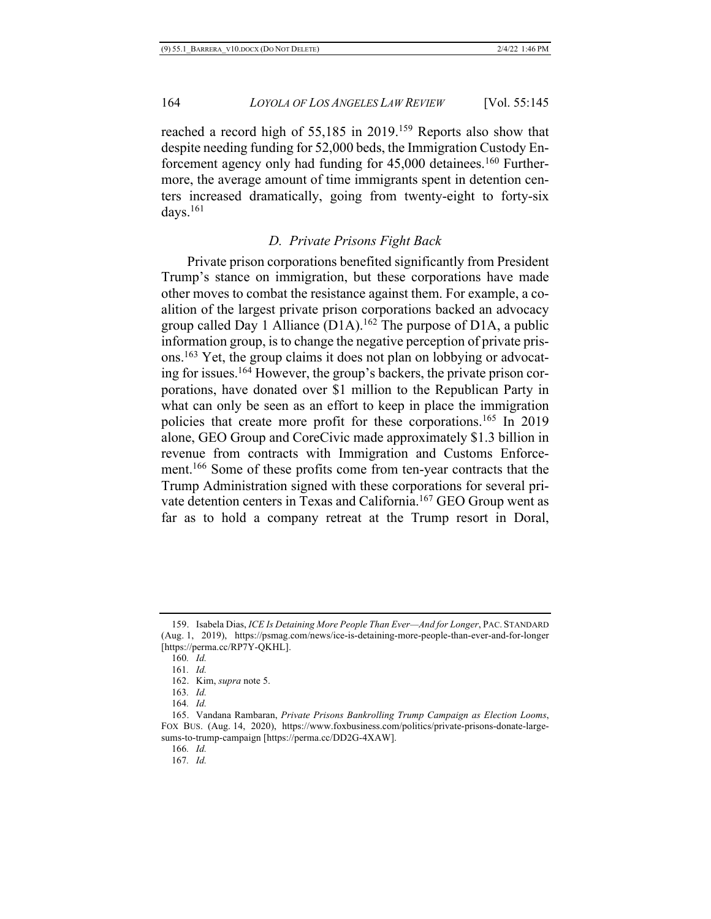reached a record high of 55,185 in 2019.<sup>159</sup> Reports also show that despite needing funding for 52,000 beds, the Immigration Custody Enforcement agency only had funding for 45,000 detainees.<sup>160</sup> Furthermore, the average amount of time immigrants spent in detention centers increased dramatically, going from twenty-eight to forty-six days.161

## *D. Private Prisons Fight Back*

Private prison corporations benefited significantly from President Trump's stance on immigration, but these corporations have made other moves to combat the resistance against them. For example, a coalition of the largest private prison corporations backed an advocacy group called Day 1 Alliance  $(D1A)$ .<sup>162</sup> The purpose of D1A, a public information group, is to change the negative perception of private prisons.163 Yet, the group claims it does not plan on lobbying or advocating for issues.164 However, the group's backers, the private prison corporations, have donated over \$1 million to the Republican Party in what can only be seen as an effort to keep in place the immigration policies that create more profit for these corporations.165 In 2019 alone, GEO Group and CoreCivic made approximately \$1.3 billion in revenue from contracts with Immigration and Customs Enforcement.<sup>166</sup> Some of these profits come from ten-year contracts that the Trump Administration signed with these corporations for several private detention centers in Texas and California.<sup>167</sup> GEO Group went as far as to hold a company retreat at the Trump resort in Doral,

167*. Id.*

<sup>159.</sup> Isabela Dias, *ICE Is Detaining More People Than Ever—And for Longer*, PAC. STANDARD (Aug. 1, 2019), https://psmag.com/news/ice-is-detaining-more-people-than-ever-and-for-longer [https://perma.cc/RP7Y-QKHL].

<sup>160</sup>*. Id.*

<sup>161</sup>*. Id.*

<sup>162.</sup> Kim, *supra* note 5.

<sup>163</sup>*. Id.*

<sup>164</sup>*. Id.*

<sup>165.</sup> Vandana Rambaran, *Private Prisons Bankrolling Trump Campaign as Election Looms*, FOX BUS. (Aug. 14, 2020), https://www.foxbusiness.com/politics/private-prisons-donate-largesums-to-trump-campaign [https://perma.cc/DD2G-4XAW].

<sup>166</sup>*. Id.*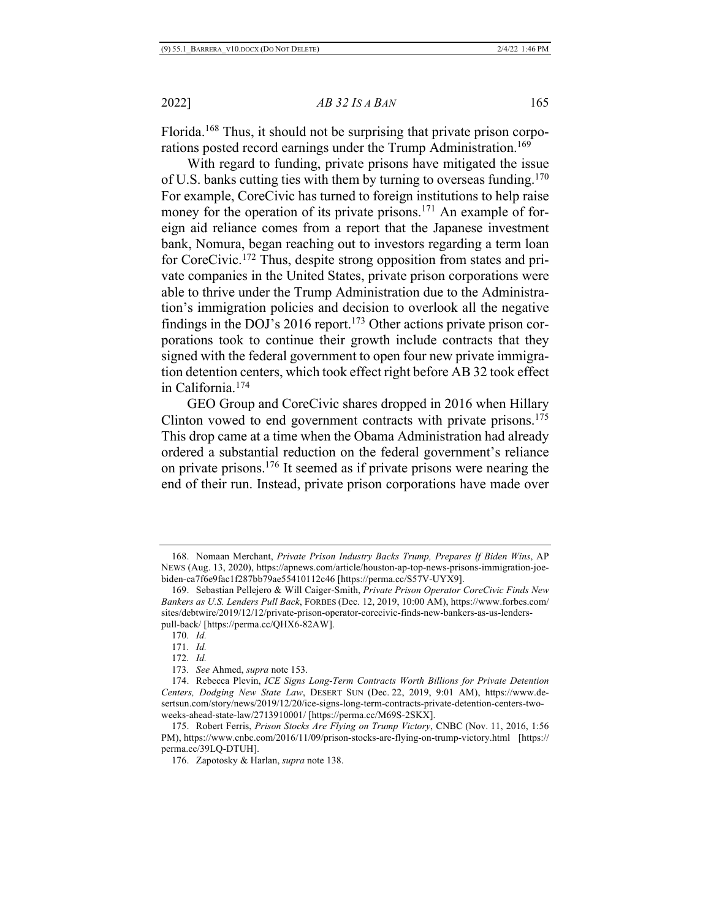Florida.168 Thus, it should not be surprising that private prison corporations posted record earnings under the Trump Administration.<sup>169</sup>

With regard to funding, private prisons have mitigated the issue of U.S. banks cutting ties with them by turning to overseas funding.170 For example, CoreCivic has turned to foreign institutions to help raise money for the operation of its private prisons.<sup>171</sup> An example of foreign aid reliance comes from a report that the Japanese investment bank, Nomura, began reaching out to investors regarding a term loan for CoreCivic. <sup>172</sup> Thus, despite strong opposition from states and private companies in the United States, private prison corporations were able to thrive under the Trump Administration due to the Administration's immigration policies and decision to overlook all the negative findings in the DOJ's 2016 report.<sup>173</sup> Other actions private prison corporations took to continue their growth include contracts that they signed with the federal government to open four new private immigration detention centers, which took effect right before AB 32 took effect in California.174

GEO Group and CoreCivic shares dropped in 2016 when Hillary Clinton vowed to end government contracts with private prisons.<sup>175</sup> This drop came at a time when the Obama Administration had already ordered a substantial reduction on the federal government's reliance on private prisons.176 It seemed as if private prisons were nearing the end of their run. Instead, private prison corporations have made over

<sup>168.</sup> Nomaan Merchant, *Private Prison Industry Backs Trump, Prepares If Biden Wins*, AP NEWS (Aug. 13, 2020), https://apnews.com/article/houston-ap-top-news-prisons-immigration-joebiden-ca7f6e9fac1f287bb79ae55410112c46 [https://perma.cc/S57V-UYX9].

<sup>169.</sup> Sebastian Pellejero & Will Caiger-Smith, *Private Prison Operator CoreCivic Finds New Bankers as U.S. Lenders Pull Back*, FORBES (Dec. 12, 2019, 10:00 AM), https://www.forbes.com/ sites/debtwire/2019/12/12/private-prison-operator-corecivic-finds-new-bankers-as-us-lenderspull-back/ [https://perma.cc/QHX6-82AW].

<sup>170</sup>*. Id.*

<sup>171</sup>*. Id.*

<sup>172</sup>*. Id.*

<sup>173</sup>*. See* Ahmed, *supra* note 153.

<sup>174.</sup> Rebecca Plevin, *ICE Signs Long-Term Contracts Worth Billions for Private Detention Centers, Dodging New State Law*, DESERT SUN (Dec. 22, 2019, 9:01 AM), https://www.desertsun.com/story/news/2019/12/20/ice-signs-long-term-contracts-private-detention-centers-twoweeks-ahead-state-law/2713910001/ [https://perma.cc/M69S-2SKX].

<sup>175.</sup> Robert Ferris, *Prison Stocks Are Flying on Trump Victory*, CNBC (Nov. 11, 2016, 1:56 PM), https://www.cnbc.com/2016/11/09/prison-stocks-are-flying-on-trump-victory.html [https:// perma.cc/39LQ-DTUH].

<sup>176.</sup> Zapotosky & Harlan, *supra* note 138.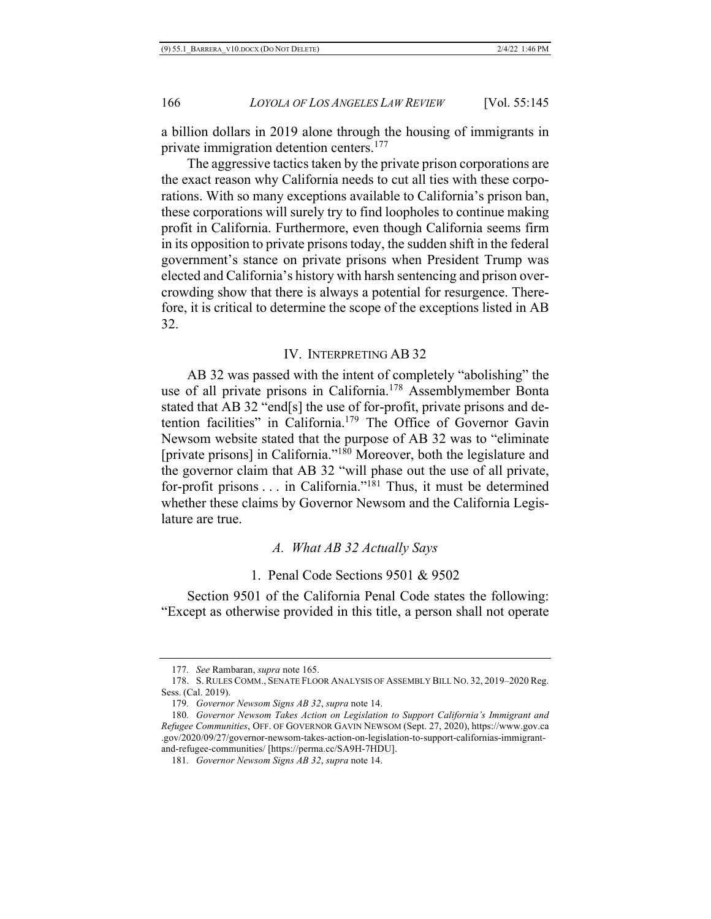a billion dollars in 2019 alone through the housing of immigrants in private immigration detention centers.<sup>177</sup>

The aggressive tactics taken by the private prison corporations are the exact reason why California needs to cut all ties with these corporations. With so many exceptions available to California's prison ban, these corporations will surely try to find loopholes to continue making profit in California. Furthermore, even though California seems firm in its opposition to private prisons today, the sudden shift in the federal government's stance on private prisons when President Trump was elected and California's history with harsh sentencing and prison overcrowding show that there is always a potential for resurgence. Therefore, it is critical to determine the scope of the exceptions listed in AB 32.

#### IV. INTERPRETING AB 32

AB 32 was passed with the intent of completely "abolishing" the use of all private prisons in California.<sup>178</sup> Assemblymember Bonta stated that AB 32 "end[s] the use of for-profit, private prisons and detention facilities" in California.179 The Office of Governor Gavin Newsom website stated that the purpose of AB 32 was to "eliminate [private prisons] in California."180 Moreover, both the legislature and the governor claim that AB 32 "will phase out the use of all private, for-profit prisons . . . in California."181 Thus, it must be determined whether these claims by Governor Newsom and the California Legislature are true.

## *A. What AB 32 Actually Says*

1. Penal Code Sections 9501 & 9502

Section 9501 of the California Penal Code states the following: "Except as otherwise provided in this title, a person shall not operate

<sup>177</sup>*. See* Rambaran, *supra* note 165.

<sup>178.</sup> S. RULES COMM., SENATE FLOOR ANALYSIS OF ASSEMBLY BILL NO. 32, 2019–2020 Reg. Sess. (Cal. 2019).

<sup>179</sup>*. Governor Newsom Signs AB 32*, *supra* note 14.

<sup>180</sup>*. Governor Newsom Takes Action on Legislation to Support California's Immigrant and Refugee Communities*, OFF. OF GOVERNOR GAVIN NEWSOM (Sept. 27, 2020), https://www.gov.ca .gov/2020/09/27/governor-newsom-takes-action-on-legislation-to-support-californias-immigrantand-refugee-communities/ [https://perma.cc/SA9H-7HDU].

<sup>181</sup>*. Governor Newsom Signs AB 32*, *supra* note 14.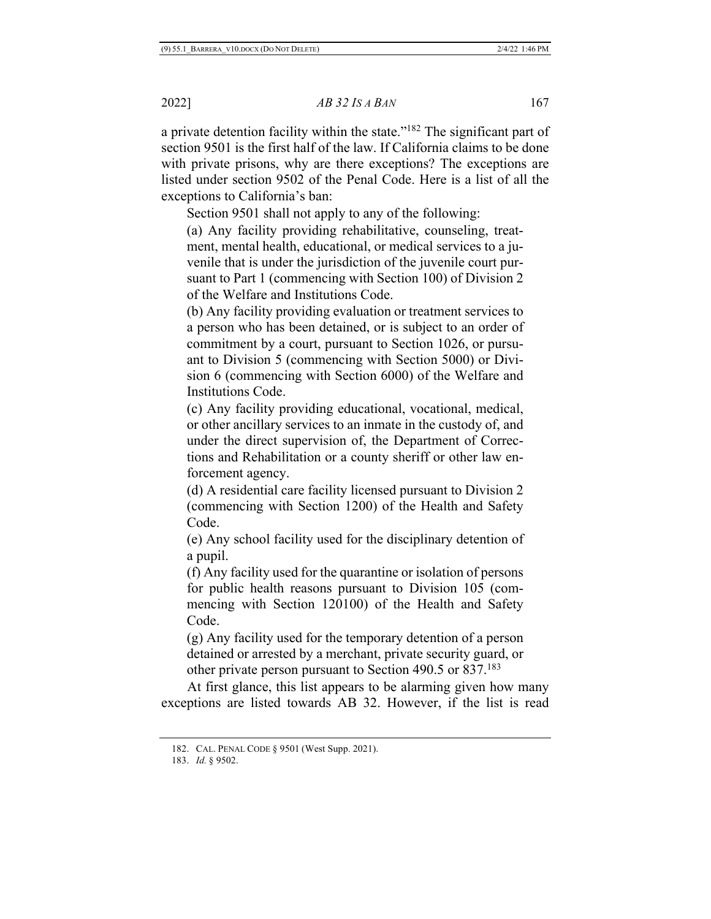a private detention facility within the state."182 The significant part of section 9501 is the first half of the law. If California claims to be done with private prisons, why are there exceptions? The exceptions are listed under section 9502 of the Penal Code. Here is a list of all the exceptions to California's ban:

Section 9501 shall not apply to any of the following:

(a) Any facility providing rehabilitative, counseling, treatment, mental health, educational, or medical services to a juvenile that is under the jurisdiction of the juvenile court pursuant to Part 1 (commencing with Section 100) of Division 2 of the Welfare and Institutions Code.

(b) Any facility providing evaluation or treatment services to a person who has been detained, or is subject to an order of commitment by a court, pursuant to Section 1026, or pursuant to Division 5 (commencing with Section 5000) or Division 6 (commencing with Section 6000) of the Welfare and Institutions Code.

(c) Any facility providing educational, vocational, medical, or other ancillary services to an inmate in the custody of, and under the direct supervision of, the Department of Corrections and Rehabilitation or a county sheriff or other law enforcement agency.

(d) A residential care facility licensed pursuant to Division 2 (commencing with Section 1200) of the Health and Safety Code.

(e) Any school facility used for the disciplinary detention of a pupil.

(f) Any facility used for the quarantine or isolation of persons for public health reasons pursuant to Division 105 (commencing with Section 120100) of the Health and Safety Code.

(g) Any facility used for the temporary detention of a person detained or arrested by a merchant, private security guard, or other private person pursuant to Section 490.5 or 837.183

At first glance, this list appears to be alarming given how many exceptions are listed towards AB 32. However, if the list is read

<sup>182.</sup> CAL. PENAL CODE § 9501 (West Supp. 2021).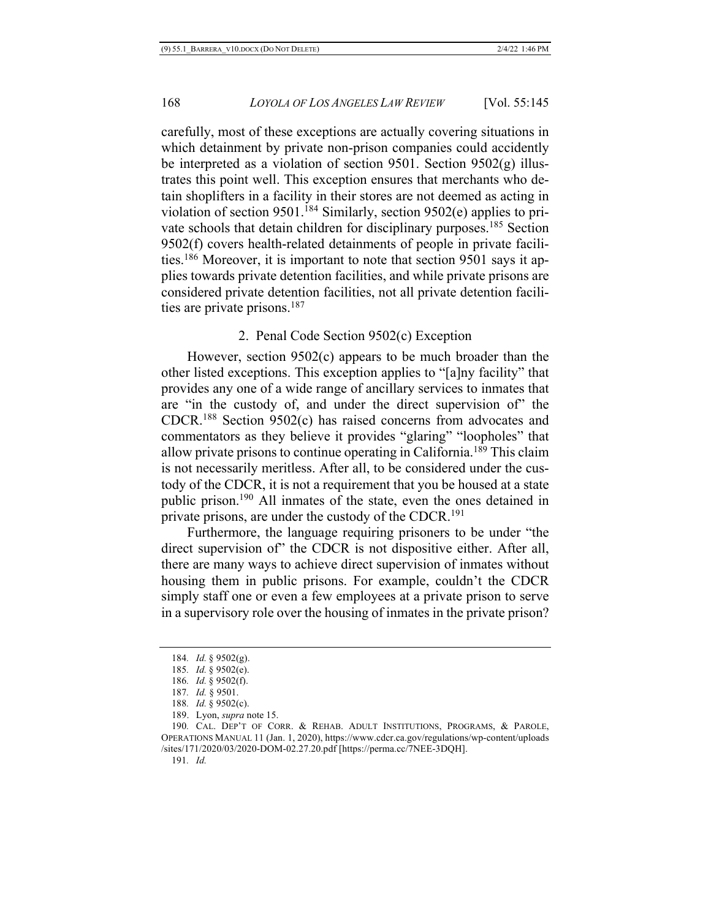carefully, most of these exceptions are actually covering situations in which detainment by private non-prison companies could accidently be interpreted as a violation of section 9501. Section 9502(g) illustrates this point well. This exception ensures that merchants who detain shoplifters in a facility in their stores are not deemed as acting in violation of section 9501.184 Similarly, section 9502(e) applies to private schools that detain children for disciplinary purposes.185 Section 9502(f) covers health-related detainments of people in private facilities.186 Moreover, it is important to note that section 9501 says it applies towards private detention facilities, and while private prisons are considered private detention facilities, not all private detention facilities are private prisons.<sup>187</sup>

# 2. Penal Code Section 9502(c) Exception

However, section 9502(c) appears to be much broader than the other listed exceptions. This exception applies to "[a]ny facility" that provides any one of a wide range of ancillary services to inmates that are "in the custody of, and under the direct supervision of" the CDCR.188 Section 9502(c) has raised concerns from advocates and commentators as they believe it provides "glaring" "loopholes" that allow private prisons to continue operating in California.189 This claim is not necessarily meritless. After all, to be considered under the custody of the CDCR, it is not a requirement that you be housed at a state public prison.190 All inmates of the state, even the ones detained in private prisons, are under the custody of the CDCR.191

Furthermore, the language requiring prisoners to be under "the direct supervision of" the CDCR is not dispositive either. After all, there are many ways to achieve direct supervision of inmates without housing them in public prisons. For example, couldn't the CDCR simply staff one or even a few employees at a private prison to serve in a supervisory role over the housing of inmates in the private prison?

<sup>184</sup>*. Id.* § 9502(g).

<sup>185</sup>*. Id.* § 9502(e).

<sup>186</sup>*. Id.* § 9502(f).

<sup>187</sup>*. Id.* § 9501.

<sup>188</sup>*. Id.* § 9502(c).

<sup>189.</sup> Lyon, *supra* note 15.

<sup>190</sup>*.* CAL. DEP'T OF CORR. & REHAB. ADULT INSTITUTIONS, PROGRAMS, & PAROLE, OPERATIONS MANUAL 11 (Jan. 1, 2020), https://www.cdcr.ca.gov/regulations/wp-content/uploads /sites/171/2020/03/2020-DOM-02.27.20.pdf [https://perma.cc/7NEE-3DQH].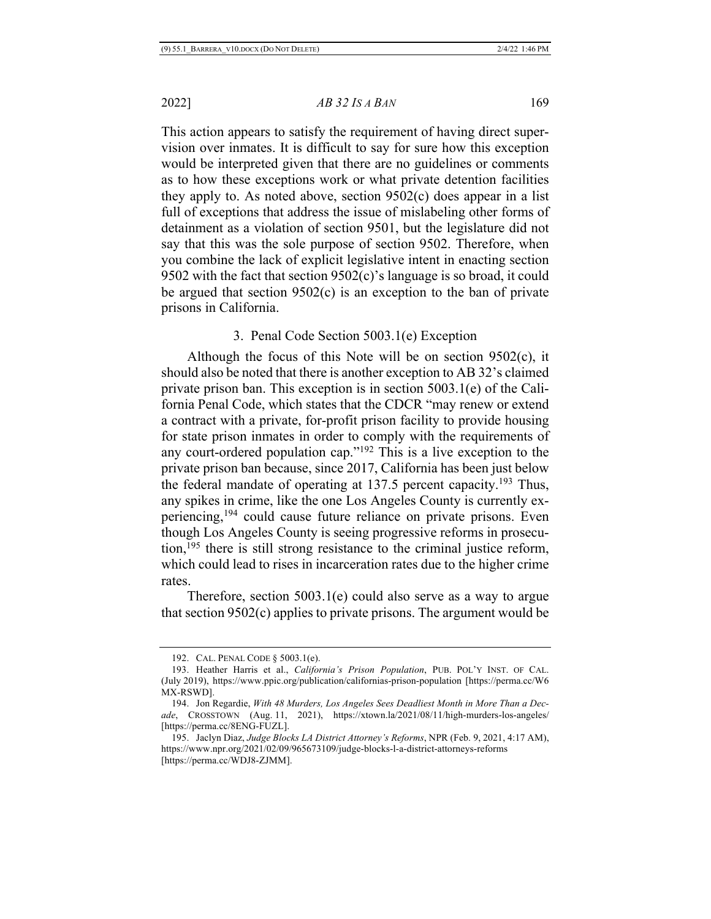This action appears to satisfy the requirement of having direct supervision over inmates. It is difficult to say for sure how this exception would be interpreted given that there are no guidelines or comments as to how these exceptions work or what private detention facilities they apply to. As noted above, section 9502(c) does appear in a list full of exceptions that address the issue of mislabeling other forms of detainment as a violation of section 9501, but the legislature did not say that this was the sole purpose of section 9502. Therefore, when you combine the lack of explicit legislative intent in enacting section 9502 with the fact that section  $9502(c)$ 's language is so broad, it could be argued that section  $9502(c)$  is an exception to the ban of private prisons in California.

# 3. Penal Code Section 5003.1(e) Exception

Although the focus of this Note will be on section 9502(c), it should also be noted that there is another exception to AB 32's claimed private prison ban. This exception is in section 5003.1(e) of the California Penal Code, which states that the CDCR "may renew or extend a contract with a private, for-profit prison facility to provide housing for state prison inmates in order to comply with the requirements of any court-ordered population cap."192 This is a live exception to the private prison ban because, since 2017, California has been just below the federal mandate of operating at  $137.5$  percent capacity.<sup>193</sup> Thus, any spikes in crime, like the one Los Angeles County is currently experiencing,194 could cause future reliance on private prisons. Even though Los Angeles County is seeing progressive reforms in prosecution,195 there is still strong resistance to the criminal justice reform, which could lead to rises in incarceration rates due to the higher crime rates.

Therefore, section 5003.1(e) could also serve as a way to argue that section 9502(c) applies to private prisons. The argument would be

<sup>192.</sup> CAL. PENAL CODE § 5003.1(e).

<sup>193.</sup> Heather Harris et al., *California's Prison Population*, PUB. POL'Y INST. OF CAL. (July 2019), https://www.ppic.org/publication/californias-prison-population [https://perma.cc/W6 MX-RSWD].

<sup>194.</sup> Jon Regardie, *With 48 Murders, Los Angeles Sees Deadliest Month in More Than a Decade*, CROSSTOWN (Aug. 11, 2021), https://xtown.la/2021/08/11/high-murders-los-angeles/ [https://perma.cc/8ENG-FUZL].

<sup>195.</sup> Jaclyn Diaz, *Judge Blocks LA District Attorney's Reforms*, NPR (Feb. 9, 2021, 4:17 AM), https://www.npr.org/2021/02/09/965673109/judge-blocks-l-a-district-attorneys-reforms [https://perma.cc/WDJ8-ZJMM].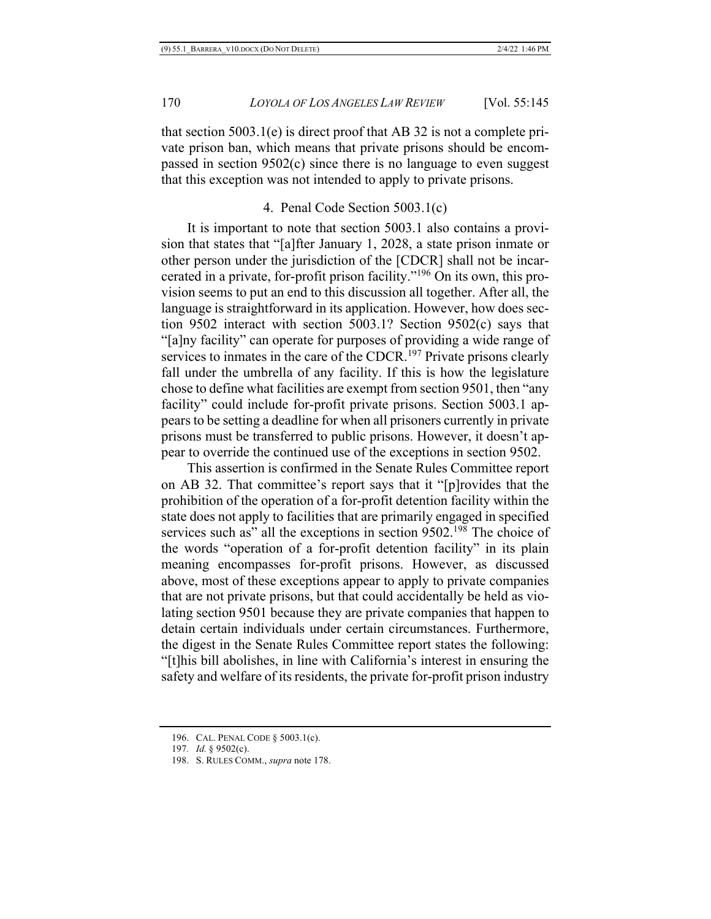that section 5003.1(e) is direct proof that AB 32 is not a complete private prison ban, which means that private prisons should be encompassed in section 9502(c) since there is no language to even suggest that this exception was not intended to apply to private prisons.

#### 4. Penal Code Section 5003.1(c)

It is important to note that section 5003.1 also contains a provision that states that "[a]fter January 1, 2028, a state prison inmate or other person under the jurisdiction of the [CDCR] shall not be incarcerated in a private, for-profit prison facility."196 On its own, this provision seems to put an end to this discussion all together. After all, the language is straightforward in its application. However, how does section 9502 interact with section 5003.1? Section 9502(c) says that "[a]ny facility" can operate for purposes of providing a wide range of services to inmates in the care of the CDCR.<sup>197</sup> Private prisons clearly fall under the umbrella of any facility. If this is how the legislature chose to define what facilities are exempt from section 9501, then "any facility" could include for-profit private prisons. Section 5003.1 appears to be setting a deadline for when all prisoners currently in private prisons must be transferred to public prisons. However, it doesn't appear to override the continued use of the exceptions in section 9502.

This assertion is confirmed in the Senate Rules Committee report on AB 32. That committee's report says that it "[p]rovides that the prohibition of the operation of a for-profit detention facility within the state does not apply to facilities that are primarily engaged in specified services such as" all the exceptions in section 9502.<sup>198</sup> The choice of the words "operation of a for-profit detention facility" in its plain meaning encompasses for-profit prisons. However, as discussed above, most of these exceptions appear to apply to private companies that are not private prisons, but that could accidentally be held as violating section 9501 because they are private companies that happen to detain certain individuals under certain circumstances. Furthermore, the digest in the Senate Rules Committee report states the following: "[t]his bill abolishes, in line with California's interest in ensuring the safety and welfare of its residents, the private for-profit prison industry

<sup>196.</sup> CAL. PENAL CODE § 5003.1(c).

<sup>197</sup>*. Id.* § 9502(c).

<sup>198.</sup> S. RULES COMM., *supra* note 178.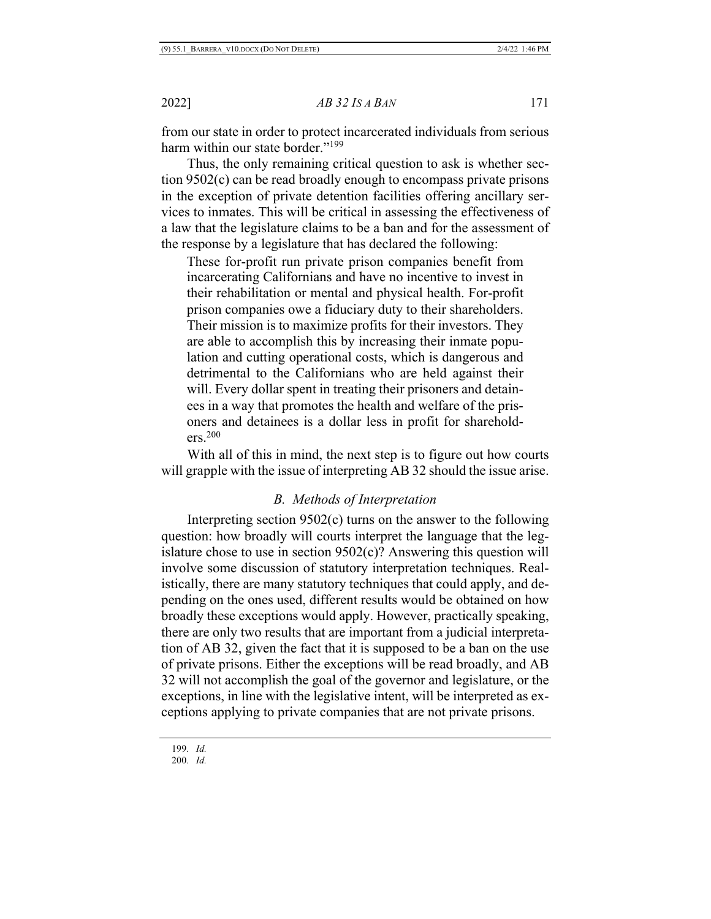from our state in order to protect incarcerated individuals from serious harm within our state border."<sup>199</sup>

Thus, the only remaining critical question to ask is whether section 9502(c) can be read broadly enough to encompass private prisons in the exception of private detention facilities offering ancillary services to inmates. This will be critical in assessing the effectiveness of a law that the legislature claims to be a ban and for the assessment of the response by a legislature that has declared the following:

These for-profit run private prison companies benefit from incarcerating Californians and have no incentive to invest in their rehabilitation or mental and physical health. For-profit prison companies owe a fiduciary duty to their shareholders. Their mission is to maximize profits for their investors. They are able to accomplish this by increasing their inmate population and cutting operational costs, which is dangerous and detrimental to the Californians who are held against their will. Every dollar spent in treating their prisoners and detainees in a way that promotes the health and welfare of the prisoners and detainees is a dollar less in profit for shareholders.200

With all of this in mind, the next step is to figure out how courts will grapple with the issue of interpreting AB 32 should the issue arise.

# *B. Methods of Interpretation*

Interpreting section 9502(c) turns on the answer to the following question: how broadly will courts interpret the language that the legislature chose to use in section 9502(c)? Answering this question will involve some discussion of statutory interpretation techniques. Realistically, there are many statutory techniques that could apply, and depending on the ones used, different results would be obtained on how broadly these exceptions would apply. However, practically speaking, there are only two results that are important from a judicial interpretation of AB 32, given the fact that it is supposed to be a ban on the use of private prisons. Either the exceptions will be read broadly, and AB 32 will not accomplish the goal of the governor and legislature, or the exceptions, in line with the legislative intent, will be interpreted as exceptions applying to private companies that are not private prisons.

<sup>199</sup>*. Id.* 200*. Id.*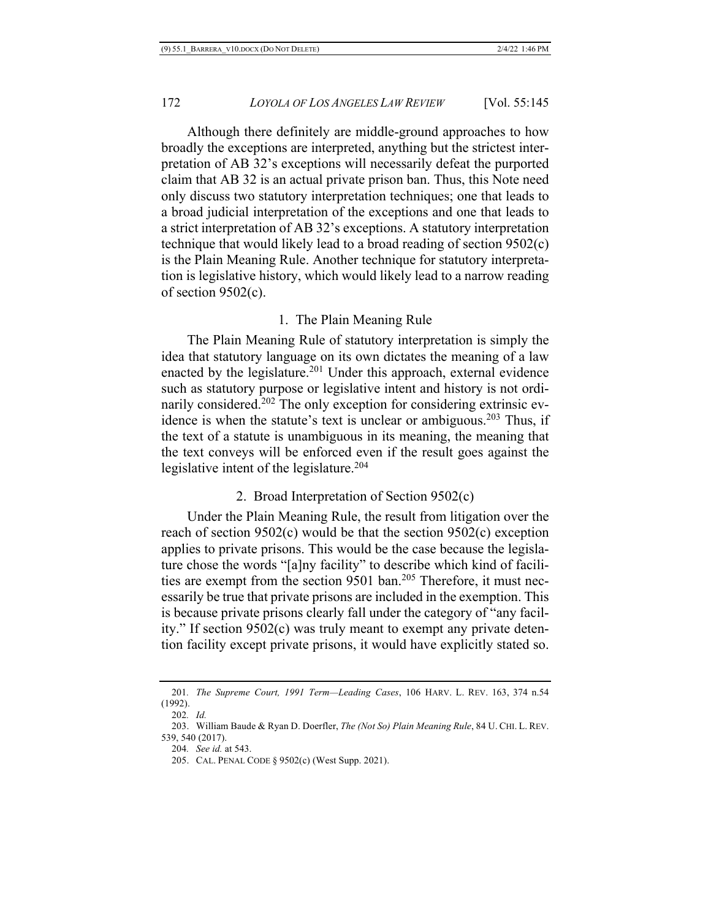Although there definitely are middle-ground approaches to how broadly the exceptions are interpreted, anything but the strictest interpretation of AB 32's exceptions will necessarily defeat the purported claim that AB 32 is an actual private prison ban. Thus, this Note need only discuss two statutory interpretation techniques; one that leads to a broad judicial interpretation of the exceptions and one that leads to a strict interpretation of AB 32's exceptions. A statutory interpretation technique that would likely lead to a broad reading of section 9502(c) is the Plain Meaning Rule. Another technique for statutory interpretation is legislative history, which would likely lead to a narrow reading of section 9502(c).

## 1. The Plain Meaning Rule

The Plain Meaning Rule of statutory interpretation is simply the idea that statutory language on its own dictates the meaning of a law enacted by the legislature.<sup>201</sup> Under this approach, external evidence such as statutory purpose or legislative intent and history is not ordinarily considered.<sup>202</sup> The only exception for considering extrinsic evidence is when the statute's text is unclear or ambiguous.<sup>203</sup> Thus, if the text of a statute is unambiguous in its meaning, the meaning that the text conveys will be enforced even if the result goes against the legislative intent of the legislature.<sup>204</sup>

# 2. Broad Interpretation of Section 9502(c)

Under the Plain Meaning Rule, the result from litigation over the reach of section 9502(c) would be that the section 9502(c) exception applies to private prisons. This would be the case because the legislature chose the words "[a]ny facility" to describe which kind of facilities are exempt from the section 9501 ban.<sup>205</sup> Therefore, it must necessarily be true that private prisons are included in the exemption. This is because private prisons clearly fall under the category of "any facility." If section 9502(c) was truly meant to exempt any private detention facility except private prisons, it would have explicitly stated so.

<sup>201</sup>*. The Supreme Court, 1991 Term—Leading Cases*, 106 HARV. L. REV. 163, 374 n.54 (1992).

<sup>202</sup>*. Id.*

<sup>203.</sup> William Baude & Ryan D. Doerfler, *The (Not So) Plain Meaning Rule*, 84 U. CHI. L. REV. 539, 540 (2017).

<sup>204</sup>*. See id.* at 543.

<sup>205.</sup> CAL. PENAL CODE § 9502(c) (West Supp. 2021).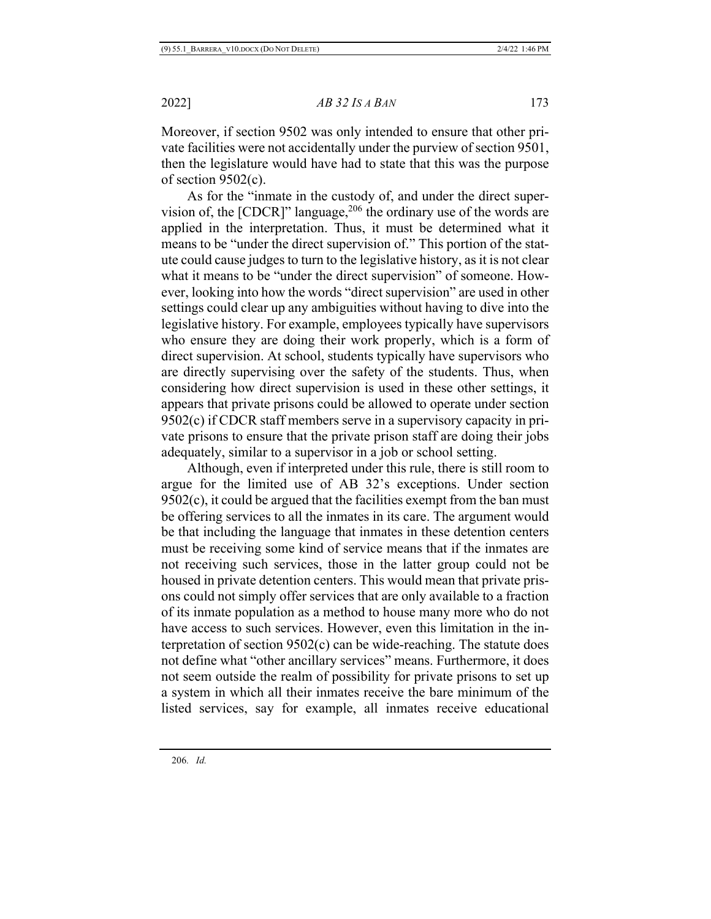Moreover, if section 9502 was only intended to ensure that other private facilities were not accidentally under the purview of section 9501, then the legislature would have had to state that this was the purpose of section 9502(c).

As for the "inmate in the custody of, and under the direct supervision of, the  $[CDCR]$ " language,  $206$  the ordinary use of the words are applied in the interpretation. Thus, it must be determined what it means to be "under the direct supervision of." This portion of the statute could cause judges to turn to the legislative history, as it is not clear what it means to be "under the direct supervision" of someone. However, looking into how the words "direct supervision" are used in other settings could clear up any ambiguities without having to dive into the legislative history. For example, employees typically have supervisors who ensure they are doing their work properly, which is a form of direct supervision. At school, students typically have supervisors who are directly supervising over the safety of the students. Thus, when considering how direct supervision is used in these other settings, it appears that private prisons could be allowed to operate under section 9502(c) if CDCR staff members serve in a supervisory capacity in private prisons to ensure that the private prison staff are doing their jobs adequately, similar to a supervisor in a job or school setting.

Although, even if interpreted under this rule, there is still room to argue for the limited use of AB 32's exceptions. Under section 9502(c), it could be argued that the facilities exempt from the ban must be offering services to all the inmates in its care. The argument would be that including the language that inmates in these detention centers must be receiving some kind of service means that if the inmates are not receiving such services, those in the latter group could not be housed in private detention centers. This would mean that private prisons could not simply offer services that are only available to a fraction of its inmate population as a method to house many more who do not have access to such services. However, even this limitation in the interpretation of section 9502(c) can be wide-reaching. The statute does not define what "other ancillary services" means. Furthermore, it does not seem outside the realm of possibility for private prisons to set up a system in which all their inmates receive the bare minimum of the listed services, say for example, all inmates receive educational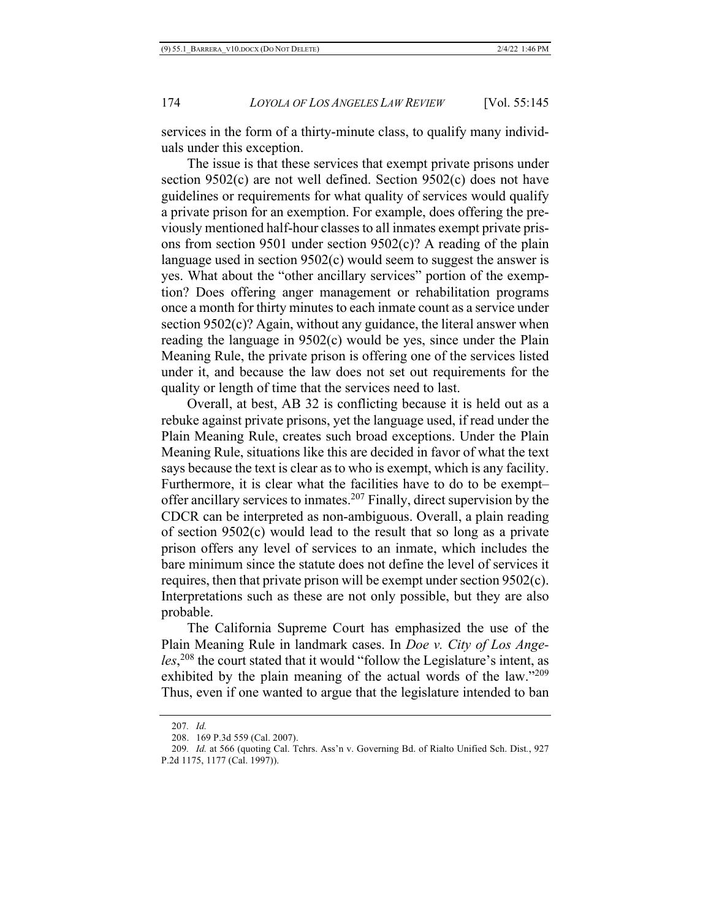services in the form of a thirty-minute class, to qualify many individuals under this exception.

The issue is that these services that exempt private prisons under section 9502(c) are not well defined. Section 9502(c) does not have guidelines or requirements for what quality of services would qualify a private prison for an exemption. For example, does offering the previously mentioned half-hour classes to all inmates exempt private prisons from section 9501 under section 9502(c)? A reading of the plain language used in section 9502(c) would seem to suggest the answer is yes. What about the "other ancillary services" portion of the exemption? Does offering anger management or rehabilitation programs once a month for thirty minutes to each inmate count as a service under section 9502(c)? Again, without any guidance, the literal answer when reading the language in 9502(c) would be yes, since under the Plain Meaning Rule, the private prison is offering one of the services listed under it, and because the law does not set out requirements for the quality or length of time that the services need to last.

Overall, at best, AB 32 is conflicting because it is held out as a rebuke against private prisons, yet the language used, if read under the Plain Meaning Rule, creates such broad exceptions. Under the Plain Meaning Rule, situations like this are decided in favor of what the text says because the text is clear as to who is exempt, which is any facility. Furthermore, it is clear what the facilities have to do to be exempt– offer ancillary services to inmates.207 Finally, direct supervision by the CDCR can be interpreted as non-ambiguous. Overall, a plain reading of section 9502(c) would lead to the result that so long as a private prison offers any level of services to an inmate, which includes the bare minimum since the statute does not define the level of services it requires, then that private prison will be exempt under section 9502(c). Interpretations such as these are not only possible, but they are also probable.

The California Supreme Court has emphasized the use of the Plain Meaning Rule in landmark cases. In *Doe v. City of Los Angeles*, <sup>208</sup> the court stated that it would "follow the Legislature's intent, as exhibited by the plain meaning of the actual words of the law."<sup>209</sup> Thus, even if one wanted to argue that the legislature intended to ban

<sup>207</sup>*. Id.*

<sup>208.</sup> 169 P.3d 559 (Cal. 2007).

<sup>209</sup>*. Id.* at 566 (quoting Cal. Tchrs. Ass'n v. Governing Bd. of Rialto Unified Sch. Dist*.*, 927 P.2d 1175, 1177 (Cal. 1997)).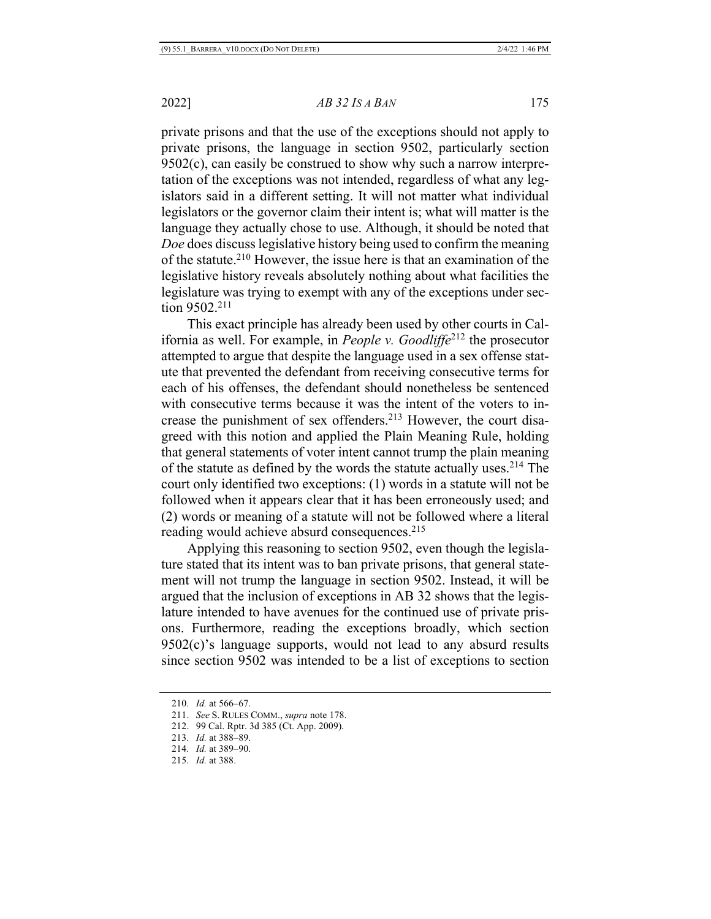private prisons and that the use of the exceptions should not apply to private prisons, the language in section 9502, particularly section 9502(c), can easily be construed to show why such a narrow interpretation of the exceptions was not intended, regardless of what any legislators said in a different setting. It will not matter what individual legislators or the governor claim their intent is; what will matter is the language they actually chose to use. Although, it should be noted that *Doe* does discuss legislative history being used to confirm the meaning of the statute.210 However, the issue here is that an examination of the legislative history reveals absolutely nothing about what facilities the legislature was trying to exempt with any of the exceptions under section 9502.211

This exact principle has already been used by other courts in California as well. For example, in *People v. Goodliffe*<sup>212</sup> the prosecutor attempted to argue that despite the language used in a sex offense statute that prevented the defendant from receiving consecutive terms for each of his offenses, the defendant should nonetheless be sentenced with consecutive terms because it was the intent of the voters to increase the punishment of sex offenders.213 However, the court disagreed with this notion and applied the Plain Meaning Rule, holding that general statements of voter intent cannot trump the plain meaning of the statute as defined by the words the statute actually uses.214 The court only identified two exceptions: (1) words in a statute will not be followed when it appears clear that it has been erroneously used; and (2) words or meaning of a statute will not be followed where a literal reading would achieve absurd consequences.<sup>215</sup>

Applying this reasoning to section 9502, even though the legislature stated that its intent was to ban private prisons, that general statement will not trump the language in section 9502. Instead, it will be argued that the inclusion of exceptions in AB 32 shows that the legislature intended to have avenues for the continued use of private prisons. Furthermore, reading the exceptions broadly, which section 9502(c)'s language supports, would not lead to any absurd results since section 9502 was intended to be a list of exceptions to section

<sup>210</sup>*. Id.* at 566–67.

<sup>211.</sup> *See* S. RULES COMM., *supra* note 178.

<sup>212.</sup> 99 Cal. Rptr. 3d 385 (Ct. App. 2009).

<sup>213</sup>*. Id.* at 388–89.

<sup>214</sup>*. Id.* at 389–90.

<sup>215</sup>*. Id.* at 388.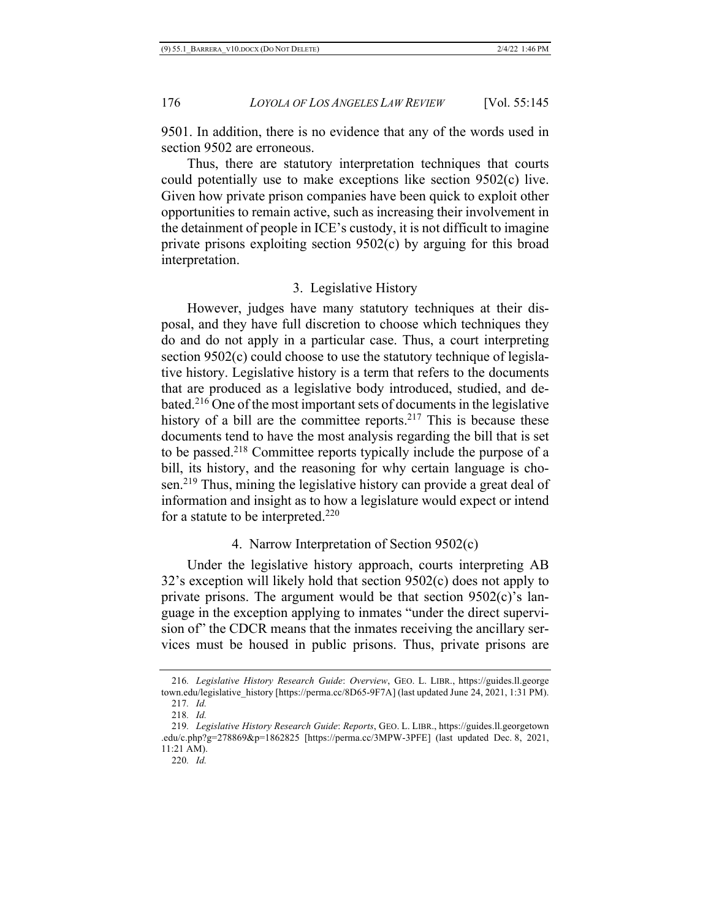9501. In addition, there is no evidence that any of the words used in section 9502 are erroneous.

Thus, there are statutory interpretation techniques that courts could potentially use to make exceptions like section 9502(c) live. Given how private prison companies have been quick to exploit other opportunities to remain active, such as increasing their involvement in the detainment of people in ICE's custody, it is not difficult to imagine private prisons exploiting section 9502(c) by arguing for this broad interpretation.

## 3. Legislative History

However, judges have many statutory techniques at their disposal, and they have full discretion to choose which techniques they do and do not apply in a particular case. Thus, a court interpreting section 9502(c) could choose to use the statutory technique of legislative history. Legislative history is a term that refers to the documents that are produced as a legislative body introduced, studied, and debated.216 One of the most important sets of documents in the legislative history of a bill are the committee reports.<sup>217</sup> This is because these documents tend to have the most analysis regarding the bill that is set to be passed.218 Committee reports typically include the purpose of a bill, its history, and the reasoning for why certain language is chosen.<sup>219</sup> Thus, mining the legislative history can provide a great deal of information and insight as to how a legislature would expect or intend for a statute to be interpreted.220

# 4. Narrow Interpretation of Section 9502(c)

Under the legislative history approach, courts interpreting AB 32's exception will likely hold that section 9502(c) does not apply to private prisons. The argument would be that section  $9502(c)$ 's language in the exception applying to inmates "under the direct supervision of" the CDCR means that the inmates receiving the ancillary services must be housed in public prisons. Thus, private prisons are

<sup>216</sup>*. Legislative History Research Guide*: *Overview*, GEO. L. LIBR., https://guides.ll.george town.edu/legislative\_history [https://perma.cc/8D65-9F7A] (last updated June 24, 2021, 1:31 PM).

<sup>217</sup>*. Id.* 218*. Id.*

<sup>219</sup>*. Legislative History Research Guide*: *Reports*, GEO. L. LIBR., https://guides.ll.georgetown .edu/c.php?g=278869&p=1862825 [https://perma.cc/3MPW-3PFE] (last updated Dec. 8, 2021, 11:21 AM).

<sup>220</sup>*. Id.*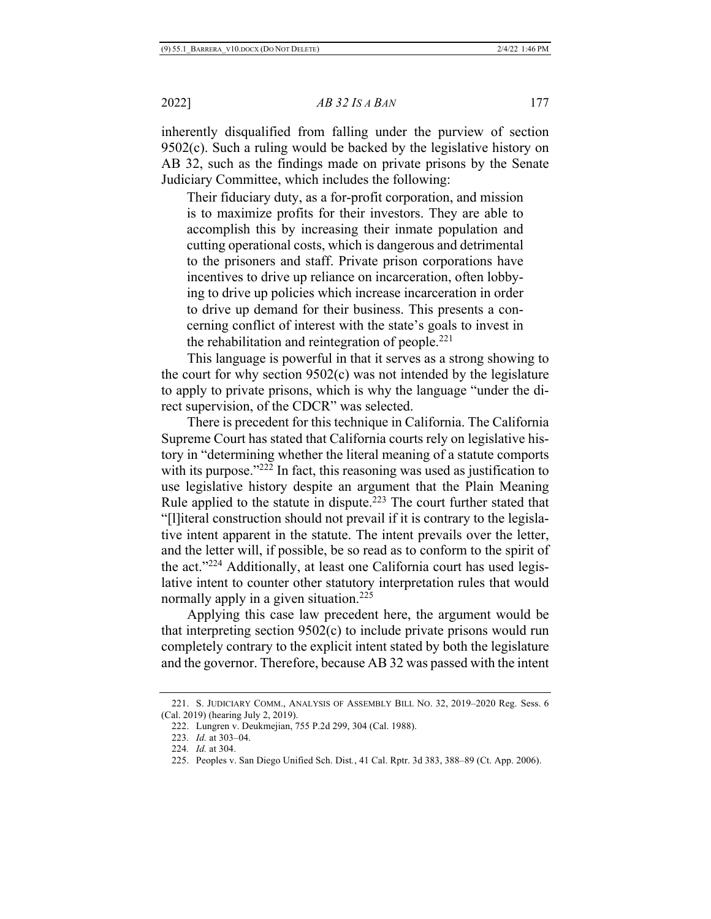inherently disqualified from falling under the purview of section 9502(c). Such a ruling would be backed by the legislative history on AB 32, such as the findings made on private prisons by the Senate Judiciary Committee, which includes the following:

Their fiduciary duty, as a for-profit corporation, and mission is to maximize profits for their investors. They are able to accomplish this by increasing their inmate population and cutting operational costs, which is dangerous and detrimental to the prisoners and staff. Private prison corporations have incentives to drive up reliance on incarceration, often lobbying to drive up policies which increase incarceration in order to drive up demand for their business. This presents a concerning conflict of interest with the state's goals to invest in the rehabilitation and reintegration of people.<sup>221</sup>

This language is powerful in that it serves as a strong showing to the court for why section 9502(c) was not intended by the legislature to apply to private prisons, which is why the language "under the direct supervision, of the CDCR" was selected.

There is precedent for this technique in California. The California Supreme Court has stated that California courts rely on legislative history in "determining whether the literal meaning of a statute comports with its purpose."<sup>222</sup> In fact, this reasoning was used as justification to use legislative history despite an argument that the Plain Meaning Rule applied to the statute in dispute.223 The court further stated that "[l]iteral construction should not prevail if it is contrary to the legislative intent apparent in the statute. The intent prevails over the letter, and the letter will, if possible, be so read as to conform to the spirit of the act."224 Additionally, at least one California court has used legislative intent to counter other statutory interpretation rules that would normally apply in a given situation.<sup>225</sup>

Applying this case law precedent here, the argument would be that interpreting section 9502(c) to include private prisons would run completely contrary to the explicit intent stated by both the legislature and the governor. Therefore, because AB 32 was passed with the intent

<sup>221.</sup> S. JUDICIARY COMM., ANALYSIS OF ASSEMBLY BILL NO. 32, 2019–2020 Reg. Sess. 6 (Cal. 2019) (hearing July 2, 2019).

<sup>222.</sup> Lungren v. Deukmejian, 755 P.2d 299, 304 (Cal. 1988).

<sup>223</sup>*. Id.* at 303–04.

<sup>224</sup>*. Id.* at 304.

<sup>225.</sup> Peoples v. San Diego Unified Sch. Dist*.*, 41 Cal. Rptr. 3d 383, 388–89 (Ct. App. 2006).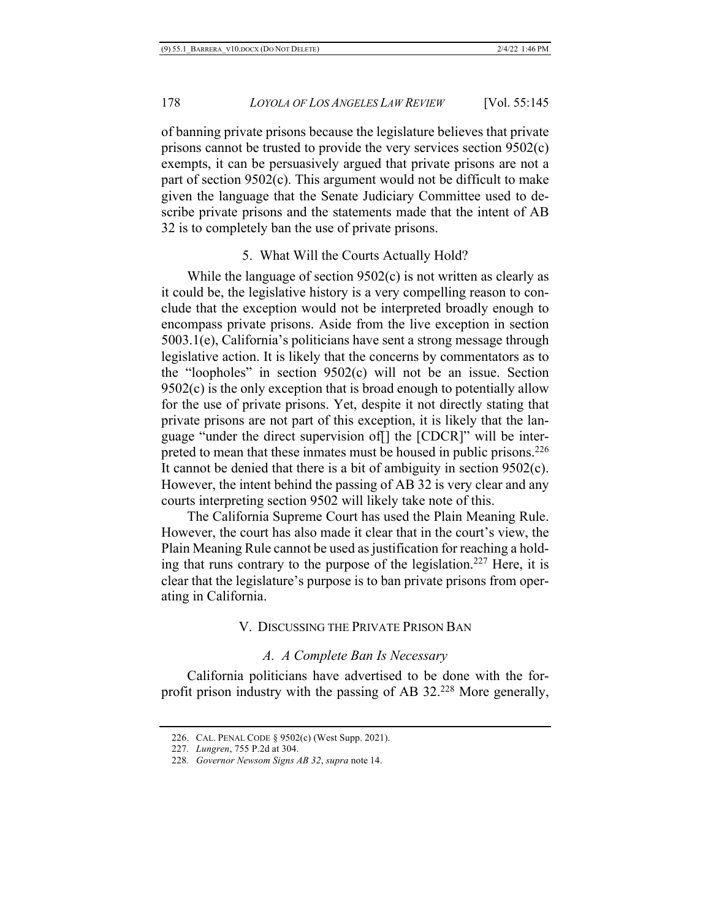of banning private prisons because the legislature believes that private prisons cannot be trusted to provide the very services section 9502(c) exempts, it can be persuasively argued that private prisons are not a part of section 9502(c). This argument would not be difficult to make given the language that the Senate Judiciary Committee used to describe private prisons and the statements made that the intent of AB 32 is to completely ban the use of private prisons.

# 5. What Will the Courts Actually Hold?

While the language of section 9502(c) is not written as clearly as it could be, the legislative history is a very compelling reason to conclude that the exception would not be interpreted broadly enough to encompass private prisons. Aside from the live exception in section 5003.1(e), California's politicians have sent a strong message through legislative action. It is likely that the concerns by commentators as to the "loopholes" in section 9502(c) will not be an issue. Section  $9502(c)$  is the only exception that is broad enough to potentially allow for the use of private prisons. Yet, despite it not directly stating that private prisons are not part of this exception, it is likely that the language "under the direct supervision of[] the [CDCR]" will be interpreted to mean that these inmates must be housed in public prisons.<sup>226</sup> It cannot be denied that there is a bit of ambiguity in section 9502(c). However, the intent behind the passing of AB 32 is very clear and any courts interpreting section 9502 will likely take note of this.

The California Supreme Court has used the Plain Meaning Rule. However, the court has also made it clear that in the court's view, the Plain Meaning Rule cannot be used as justification for reaching a holding that runs contrary to the purpose of the legislation.<sup>227</sup> Here, it is clear that the legislature's purpose is to ban private prisons from operating in California.

#### V. DISCUSSING THE PRIVATE PRISON BAN

# *A. A Complete Ban Is Necessary*

California politicians have advertised to be done with the forprofit prison industry with the passing of AB 32.228 More generally,

<sup>226.</sup> CAL. PENAL CODE § 9502(c) (West Supp. 2021).

<sup>227</sup>*. Lungren*, 755 P.2d at 304.

<sup>228</sup>*. Governor Newsom Signs AB 32*, *supra* note 14.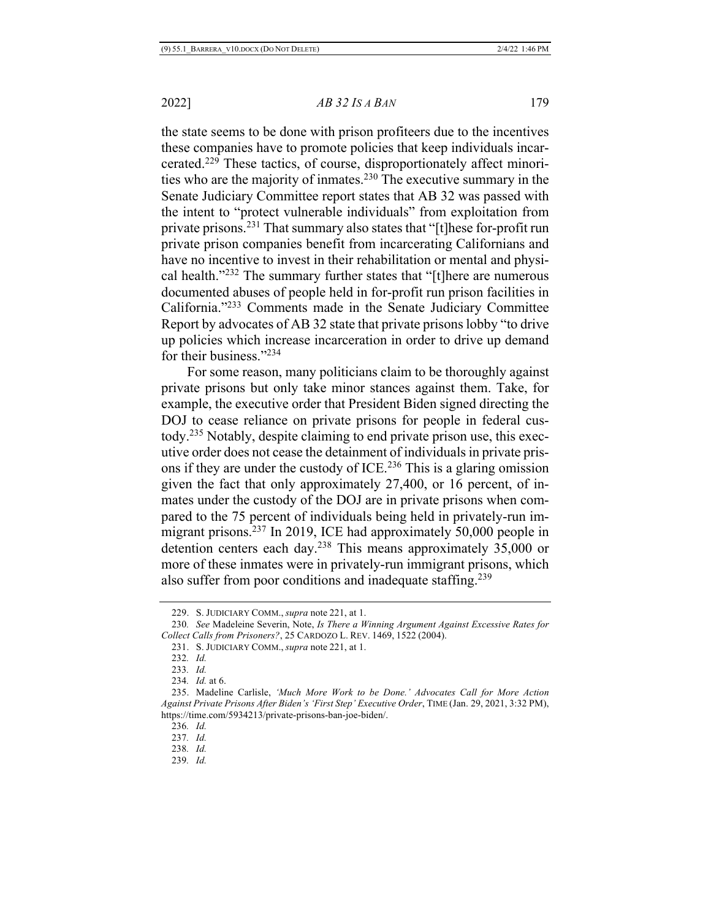the state seems to be done with prison profiteers due to the incentives these companies have to promote policies that keep individuals incarcerated.229 These tactics, of course, disproportionately affect minorities who are the majority of inmates.230 The executive summary in the Senate Judiciary Committee report states that AB 32 was passed with the intent to "protect vulnerable individuals" from exploitation from private prisons.231 That summary also states that "[t]hese for-profit run private prison companies benefit from incarcerating Californians and have no incentive to invest in their rehabilitation or mental and physical health."232 The summary further states that "[t]here are numerous documented abuses of people held in for-profit run prison facilities in California."233 Comments made in the Senate Judiciary Committee Report by advocates of AB 32 state that private prisons lobby "to drive up policies which increase incarceration in order to drive up demand for their business."234

For some reason, many politicians claim to be thoroughly against private prisons but only take minor stances against them. Take, for example, the executive order that President Biden signed directing the DOJ to cease reliance on private prisons for people in federal custody.235 Notably, despite claiming to end private prison use, this executive order does not cease the detainment of individuals in private prisons if they are under the custody of ICE.<sup>236</sup> This is a glaring omission given the fact that only approximately 27,400, or 16 percent, of inmates under the custody of the DOJ are in private prisons when compared to the 75 percent of individuals being held in privately-run immigrant prisons.237 In 2019, ICE had approximately 50,000 people in detention centers each day.238 This means approximately 35,000 or more of these inmates were in privately-run immigrant prisons, which also suffer from poor conditions and inadequate staffing.<sup>239</sup>

234*. Id.* at 6.

<sup>229.</sup> S. JUDICIARY COMM., *supra* note 221, at 1.

<sup>230</sup>*. See* Madeleine Severin, Note, *Is There a Winning Argument Against Excessive Rates for Collect Calls from Prisoners?*, 25 CARDOZO L. REV. 1469, 1522 (2004).

<sup>231.</sup> S. JUDICIARY COMM., *supra* note 221, at 1.

<sup>232</sup>*. Id.*

<sup>233</sup>*. Id.*

<sup>235.</sup> Madeline Carlisle, *'Much More Work to be Done.' Advocates Call for More Action Against Private Prisons After Biden's 'First Step' Executive Order*, TIME (Jan. 29, 2021, 3:32 PM), https://time.com/5934213/private-prisons-ban-joe-biden/.

<sup>236</sup>*. Id.*

<sup>237</sup>*. Id.*

<sup>238</sup>*. Id.*

<sup>239</sup>*. Id.*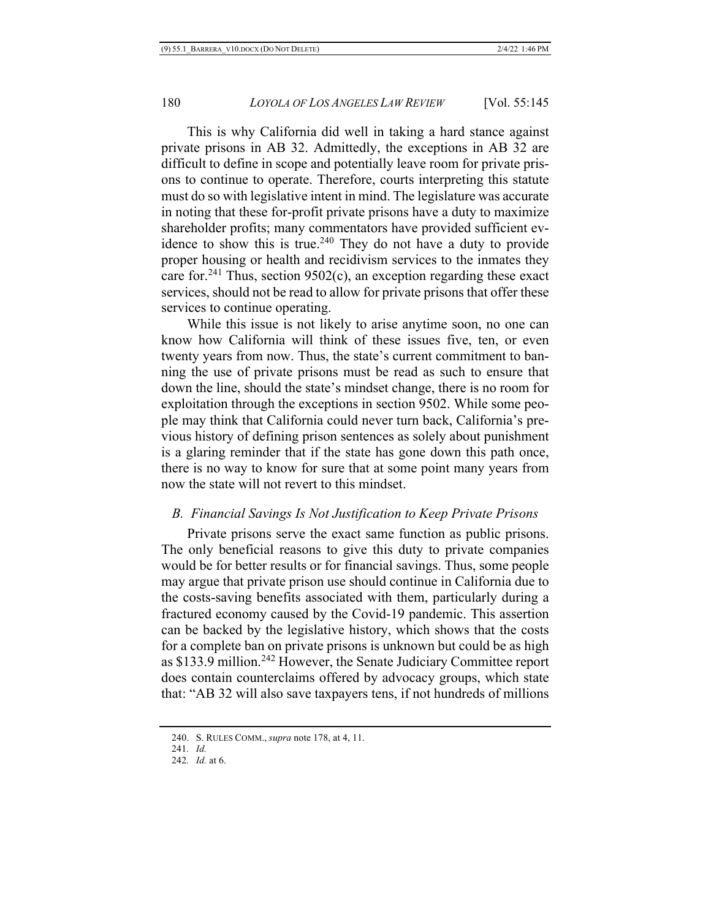This is why California did well in taking a hard stance against private prisons in AB 32. Admittedly, the exceptions in AB 32 are difficult to define in scope and potentially leave room for private prisons to continue to operate. Therefore, courts interpreting this statute must do so with legislative intent in mind. The legislature was accurate in noting that these for-profit private prisons have a duty to maximize shareholder profits; many commentators have provided sufficient evidence to show this is true.<sup>240</sup> They do not have a duty to provide proper housing or health and recidivism services to the inmates they care for.<sup>241</sup> Thus, section 9502(c), an exception regarding these exact services, should not be read to allow for private prisons that offer these services to continue operating.

While this issue is not likely to arise anytime soon, no one can know how California will think of these issues five, ten, or even twenty years from now. Thus, the state's current commitment to banning the use of private prisons must be read as such to ensure that down the line, should the state's mindset change, there is no room for exploitation through the exceptions in section 9502. While some people may think that California could never turn back, California's previous history of defining prison sentences as solely about punishment is a glaring reminder that if the state has gone down this path once, there is no way to know for sure that at some point many years from now the state will not revert to this mindset.

# *B. Financial Savings Is Not Justification to Keep Private Prisons*

Private prisons serve the exact same function as public prisons. The only beneficial reasons to give this duty to private companies would be for better results or for financial savings. Thus, some people may argue that private prison use should continue in California due to the costs-saving benefits associated with them, particularly during a fractured economy caused by the Covid-19 pandemic. This assertion can be backed by the legislative history, which shows that the costs for a complete ban on private prisons is unknown but could be as high as \$133.9 million.<sup>242</sup> However, the Senate Judiciary Committee report does contain counterclaims offered by advocacy groups, which state that: "AB 32 will also save taxpayers tens, if not hundreds of millions

<sup>240.</sup> S. RULES COMM., *supra* note 178, at 4, 11.

<sup>241</sup>*. Id.*

<sup>242</sup>*. Id.* at 6.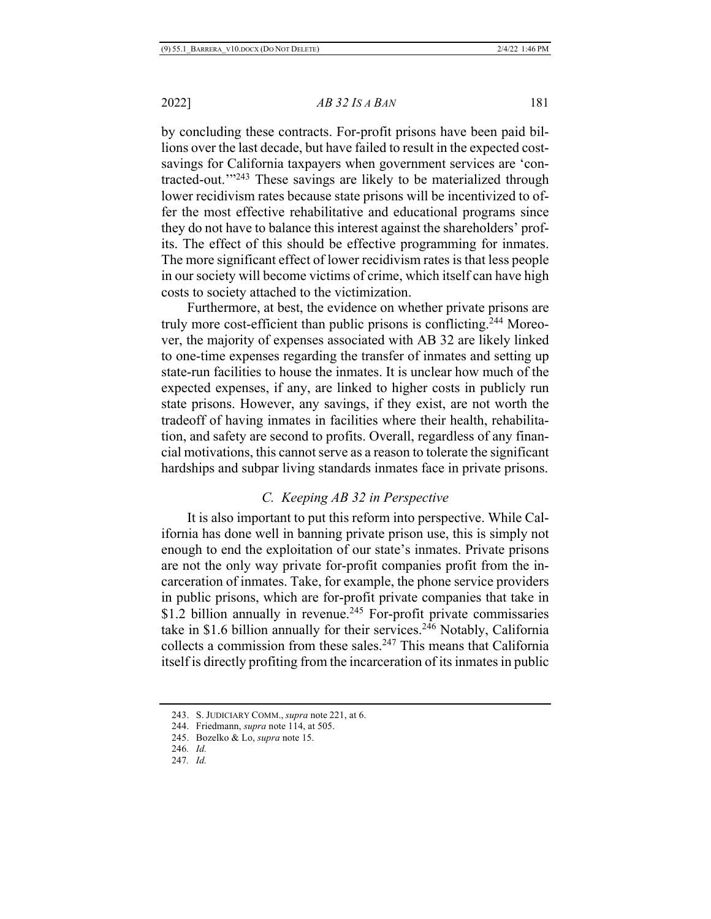by concluding these contracts. For-profit prisons have been paid billions over the last decade, but have failed to result in the expected costsavings for California taxpayers when government services are 'contracted-out.'"243 These savings are likely to be materialized through lower recidivism rates because state prisons will be incentivized to offer the most effective rehabilitative and educational programs since they do not have to balance this interest against the shareholders' profits. The effect of this should be effective programming for inmates. The more significant effect of lower recidivism rates is that less people in our society will become victims of crime, which itself can have high costs to society attached to the victimization.

Furthermore, at best, the evidence on whether private prisons are truly more cost-efficient than public prisons is conflicting.244 Moreover, the majority of expenses associated with AB 32 are likely linked to one-time expenses regarding the transfer of inmates and setting up state-run facilities to house the inmates. It is unclear how much of the expected expenses, if any, are linked to higher costs in publicly run state prisons. However, any savings, if they exist, are not worth the tradeoff of having inmates in facilities where their health, rehabilitation, and safety are second to profits. Overall, regardless of any financial motivations, this cannot serve as a reason to tolerate the significant hardships and subpar living standards inmates face in private prisons.

# *C. Keeping AB 32 in Perspective*

It is also important to put this reform into perspective. While California has done well in banning private prison use, this is simply not enough to end the exploitation of our state's inmates. Private prisons are not the only way private for-profit companies profit from the incarceration of inmates. Take, for example, the phone service providers in public prisons, which are for-profit private companies that take in \$1.2 billion annually in revenue.<sup>245</sup> For-profit private commissaries take in \$1.6 billion annually for their services.<sup>246</sup> Notably, California collects a commission from these sales.<sup>247</sup> This means that California itself is directly profiting from the incarceration of its inmates in public

<sup>243.</sup> S. JUDICIARY COMM., *supra* note 221, at 6.

<sup>244.</sup> Friedmann, *supra* note 114, at 505.

<sup>245.</sup> Bozelko & Lo, *supra* note 15.

<sup>246</sup>*. Id.*

<sup>247</sup>*. Id.*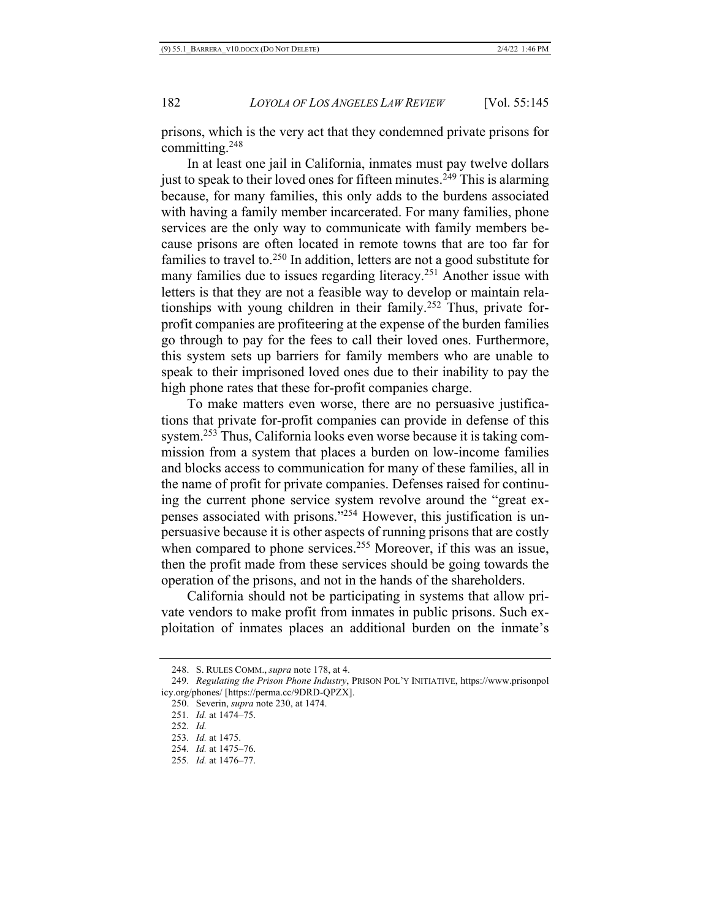prisons, which is the very act that they condemned private prisons for committing.248

In at least one jail in California, inmates must pay twelve dollars just to speak to their loved ones for fifteen minutes.<sup>249</sup> This is alarming because, for many families, this only adds to the burdens associated with having a family member incarcerated. For many families, phone services are the only way to communicate with family members because prisons are often located in remote towns that are too far for families to travel to.250 In addition, letters are not a good substitute for many families due to issues regarding literacy.<sup>251</sup> Another issue with letters is that they are not a feasible way to develop or maintain relationships with young children in their family.252 Thus, private forprofit companies are profiteering at the expense of the burden families go through to pay for the fees to call their loved ones. Furthermore, this system sets up barriers for family members who are unable to speak to their imprisoned loved ones due to their inability to pay the high phone rates that these for-profit companies charge.

To make matters even worse, there are no persuasive justifications that private for-profit companies can provide in defense of this system.253 Thus, California looks even worse because it is taking commission from a system that places a burden on low-income families and blocks access to communication for many of these families, all in the name of profit for private companies. Defenses raised for continuing the current phone service system revolve around the "great expenses associated with prisons."254 However, this justification is unpersuasive because it is other aspects of running prisons that are costly when compared to phone services.<sup>255</sup> Moreover, if this was an issue, then the profit made from these services should be going towards the operation of the prisons, and not in the hands of the shareholders.

California should not be participating in systems that allow private vendors to make profit from inmates in public prisons. Such exploitation of inmates places an additional burden on the inmate's

<sup>248.</sup> S. RULES COMM., *supra* note 178, at 4.

<sup>249</sup>*. Regulating the Prison Phone Industry*, PRISON POL'Y INITIATIVE, https://www.prisonpol icy.org/phones/ [https://perma.cc/9DRD-QPZX].

<sup>250.</sup> Severin, *supra* note 230, at 1474.

<sup>251</sup>*. Id.* at 1474–75.

<sup>252</sup>*. Id.*

<sup>253</sup>*. Id.* at 1475.

<sup>254</sup>*. Id.* at 1475–76.

<sup>255</sup>*. Id.* at 1476–77.